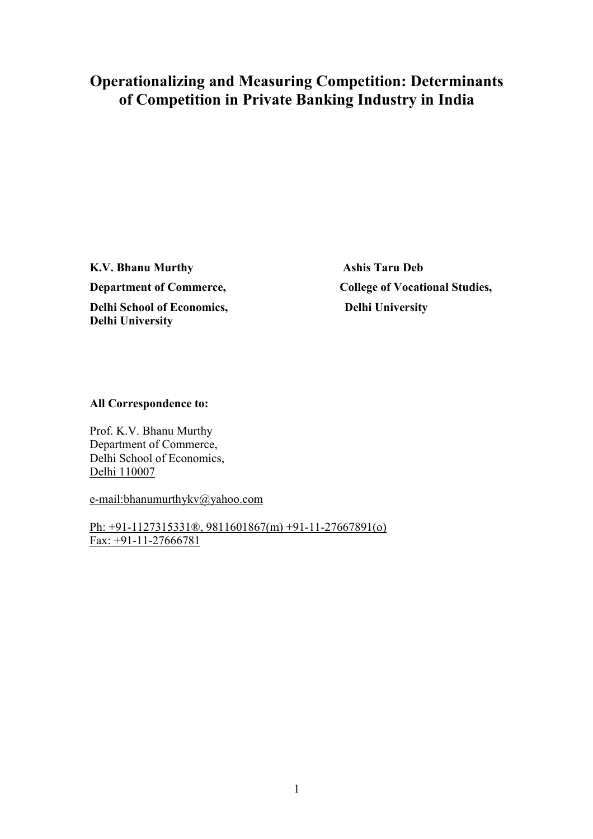# Operationalizing and Measuring Competition: Determinants of Competition in Private Banking Industry in India

K.V. Bhanu Murthy **Ashis Taru Deb** Delhi School of Economics, Delhi University Delhi University

Department of Commerce, College of Vocational Studies,

# All Correspondence to:

Prof. K.V. Bhanu Murthy Department of Commerce, Delhi School of Economics, Delhi 110007

e-mail:bhanumurthykv@yahoo.com

Ph: +91-1127315331®, 9811601867(m) +91-11-27667891(o) Fax: +91-11-27666781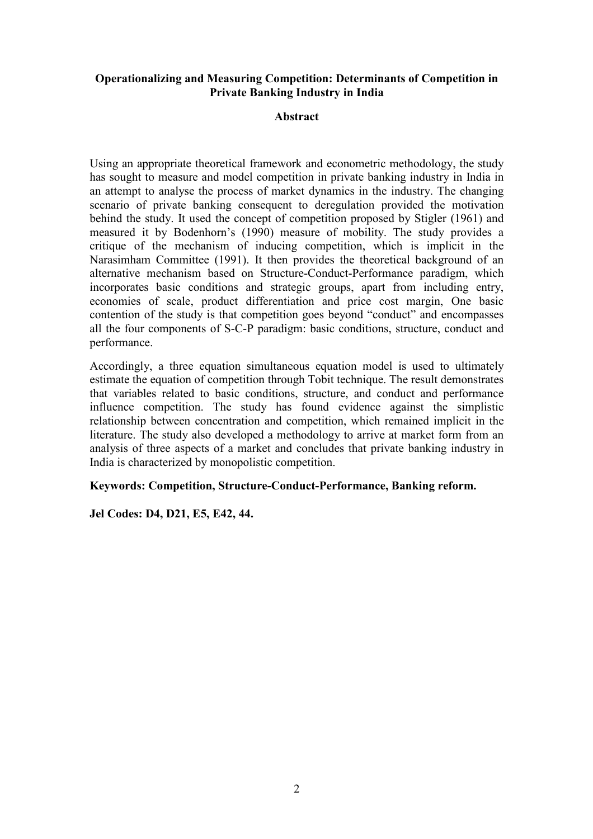# Operationalizing and Measuring Competition: Determinants of Competition in Private Banking Industry in India

# Abstract

Using an appropriate theoretical framework and econometric methodology, the study has sought to measure and model competition in private banking industry in India in an attempt to analyse the process of market dynamics in the industry. The changing scenario of private banking consequent to deregulation provided the motivation behind the study. It used the concept of competition proposed by Stigler (1961) and measured it by Bodenhorn's (1990) measure of mobility. The study provides a critique of the mechanism of inducing competition, which is implicit in the Narasimham Committee (1991). It then provides the theoretical background of an alternative mechanism based on Structure-Conduct-Performance paradigm, which incorporates basic conditions and strategic groups, apart from including entry, economies of scale, product differentiation and price cost margin, One basic contention of the study is that competition goes beyond "conduct" and encompasses all the four components of S-C-P paradigm: basic conditions, structure, conduct and performance.

Accordingly, a three equation simultaneous equation model is used to ultimately estimate the equation of competition through Tobit technique. The result demonstrates that variables related to basic conditions, structure, and conduct and performance influence competition. The study has found evidence against the simplistic relationship between concentration and competition, which remained implicit in the literature. The study also developed a methodology to arrive at market form from an analysis of three aspects of a market and concludes that private banking industry in India is characterized by monopolistic competition.

Keywords: Competition, Structure-Conduct-Performance, Banking reform.

Jel Codes: D4, D21, E5, E42, 44.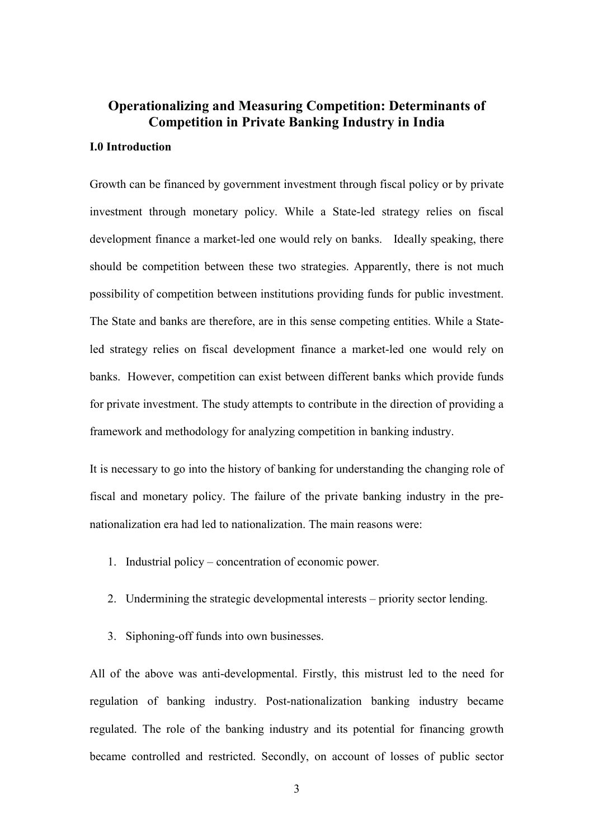# Operationalizing and Measuring Competition: Determinants of Competition in Private Banking Industry in India

# I.0 Introduction

Growth can be financed by government investment through fiscal policy or by private investment through monetary policy. While a State-led strategy relies on fiscal development finance a market-led one would rely on banks. Ideally speaking, there should be competition between these two strategies. Apparently, there is not much possibility of competition between institutions providing funds for public investment. The State and banks are therefore, are in this sense competing entities. While a Stateled strategy relies on fiscal development finance a market-led one would rely on banks. However, competition can exist between different banks which provide funds for private investment. The study attempts to contribute in the direction of providing a framework and methodology for analyzing competition in banking industry.

It is necessary to go into the history of banking for understanding the changing role of fiscal and monetary policy. The failure of the private banking industry in the prenationalization era had led to nationalization. The main reasons were:

- 1. Industrial policy concentration of economic power.
- 2. Undermining the strategic developmental interests priority sector lending.
- 3. Siphoning-off funds into own businesses.

All of the above was anti-developmental. Firstly, this mistrust led to the need for regulation of banking industry. Post-nationalization banking industry became regulated. The role of the banking industry and its potential for financing growth became controlled and restricted. Secondly, on account of losses of public sector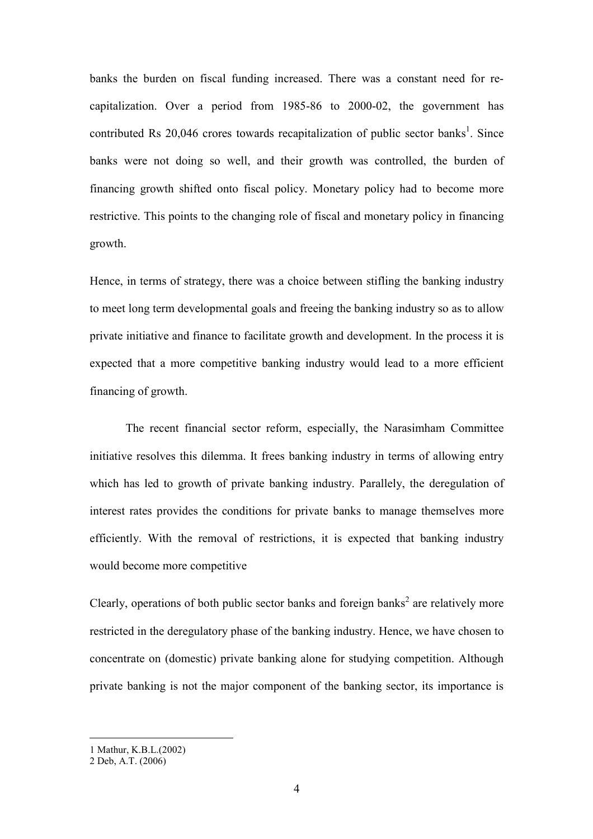banks the burden on fiscal funding increased. There was a constant need for recapitalization. Over a period from 1985-86 to 2000-02, the government has contributed Rs 20,046 crores towards recapitalization of public sector banks<sup>1</sup>. Since banks were not doing so well, and their growth was controlled, the burden of financing growth shifted onto fiscal policy. Monetary policy had to become more restrictive. This points to the changing role of fiscal and monetary policy in financing growth.

Hence, in terms of strategy, there was a choice between stifling the banking industry to meet long term developmental goals and freeing the banking industry so as to allow private initiative and finance to facilitate growth and development. In the process it is expected that a more competitive banking industry would lead to a more efficient financing of growth.

The recent financial sector reform, especially, the Narasimham Committee initiative resolves this dilemma. It frees banking industry in terms of allowing entry which has led to growth of private banking industry. Parallely, the deregulation of interest rates provides the conditions for private banks to manage themselves more efficiently. With the removal of restrictions, it is expected that banking industry would become more competitive

Clearly, operations of both public sector banks and foreign banks<sup>2</sup> are relatively more restricted in the deregulatory phase of the banking industry. Hence, we have chosen to concentrate on (domestic) private banking alone for studying competition. Although private banking is not the major component of the banking sector, its importance is

<sup>1</sup> Mathur, K.B.L.(2002)

<sup>2</sup> Deb, A.T. (2006)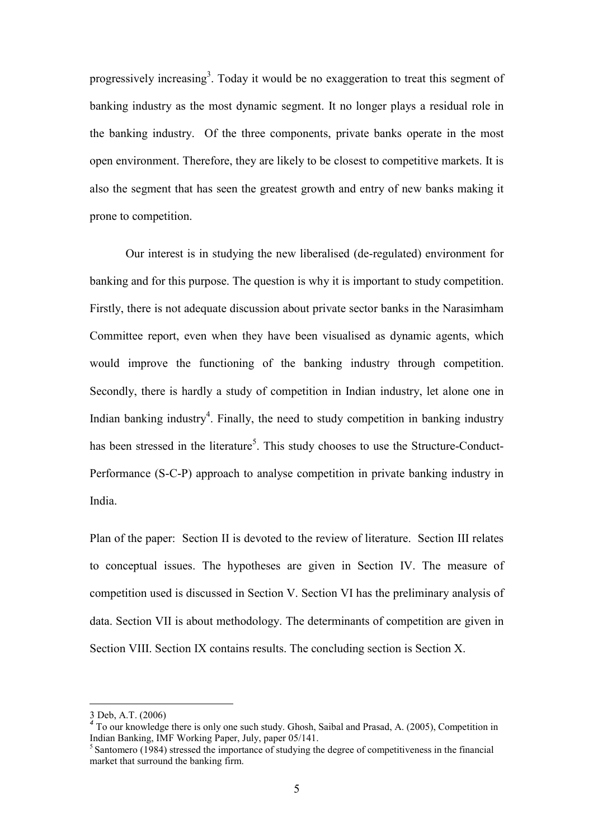progressively increasing<sup>3</sup>. Today it would be no exaggeration to treat this segment of banking industry as the most dynamic segment. It no longer plays a residual role in the banking industry. Of the three components, private banks operate in the most open environment. Therefore, they are likely to be closest to competitive markets. It is also the segment that has seen the greatest growth and entry of new banks making it prone to competition.

Our interest is in studying the new liberalised (de-regulated) environment for banking and for this purpose. The question is why it is important to study competition. Firstly, there is not adequate discussion about private sector banks in the Narasimham Committee report, even when they have been visualised as dynamic agents, which would improve the functioning of the banking industry through competition. Secondly, there is hardly a study of competition in Indian industry, let alone one in Indian banking industry<sup>4</sup>. Finally, the need to study competition in banking industry has been stressed in the literature<sup>5</sup>. This study chooses to use the Structure-Conduct-Performance (S-C-P) approach to analyse competition in private banking industry in India.

Plan of the paper: Section II is devoted to the review of literature. Section III relates to conceptual issues. The hypotheses are given in Section IV. The measure of competition used is discussed in Section V. Section VI has the preliminary analysis of data. Section VII is about methodology. The determinants of competition are given in Section VIII. Section IX contains results. The concluding section is Section X.

<sup>3</sup> Deb, A.T. (2006)<br><sup>4</sup> To our knowledge there is only one such study. Ghosh, Saibal and Prasad, A. (2005), Competition in Indian Banking, IMF Working Paper, July, paper 05/141.

 $5$ Santomero (1984) stressed the importance of studying the degree of competitiveness in the financial market that surround the banking firm.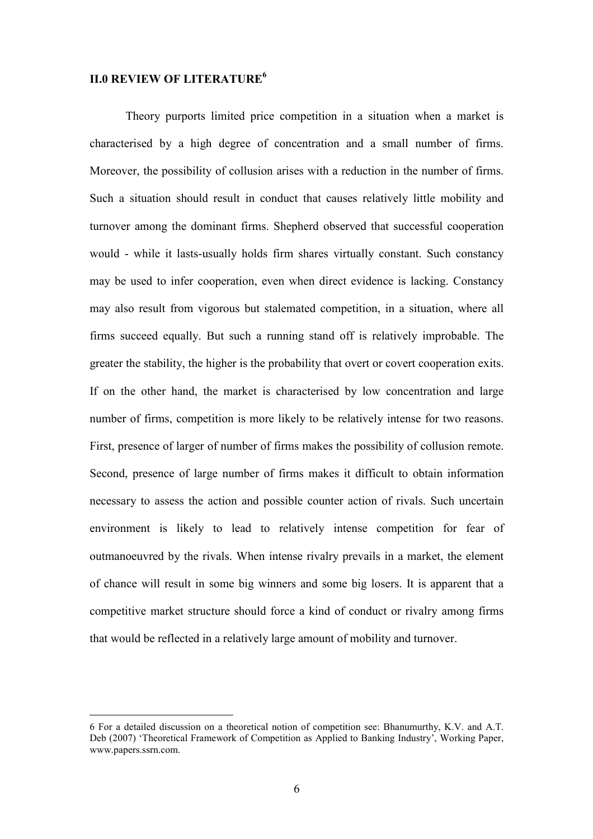# II.0 REVIEW OF LITERATURE<sup>6</sup>

Theory purports limited price competition in a situation when a market is characterised by a high degree of concentration and a small number of firms. Moreover, the possibility of collusion arises with a reduction in the number of firms. Such a situation should result in conduct that causes relatively little mobility and turnover among the dominant firms. Shepherd observed that successful cooperation would - while it lasts-usually holds firm shares virtually constant. Such constancy may be used to infer cooperation, even when direct evidence is lacking. Constancy may also result from vigorous but stalemated competition, in a situation, where all firms succeed equally. But such a running stand off is relatively improbable. The greater the stability, the higher is the probability that overt or covert cooperation exits. If on the other hand, the market is characterised by low concentration and large number of firms, competition is more likely to be relatively intense for two reasons. First, presence of larger of number of firms makes the possibility of collusion remote. Second, presence of large number of firms makes it difficult to obtain information necessary to assess the action and possible counter action of rivals. Such uncertain environment is likely to lead to relatively intense competition for fear of outmanoeuvred by the rivals. When intense rivalry prevails in a market, the element of chance will result in some big winners and some big losers. It is apparent that a competitive market structure should force a kind of conduct or rivalry among firms that would be reflected in a relatively large amount of mobility and turnover.

<sup>6</sup> For a detailed discussion on a theoretical notion of competition see: Bhanumurthy, K.V. and A.T. Deb (2007) 'Theoretical Framework of Competition as Applied to Banking Industry', Working Paper, www.papers.ssrn.com.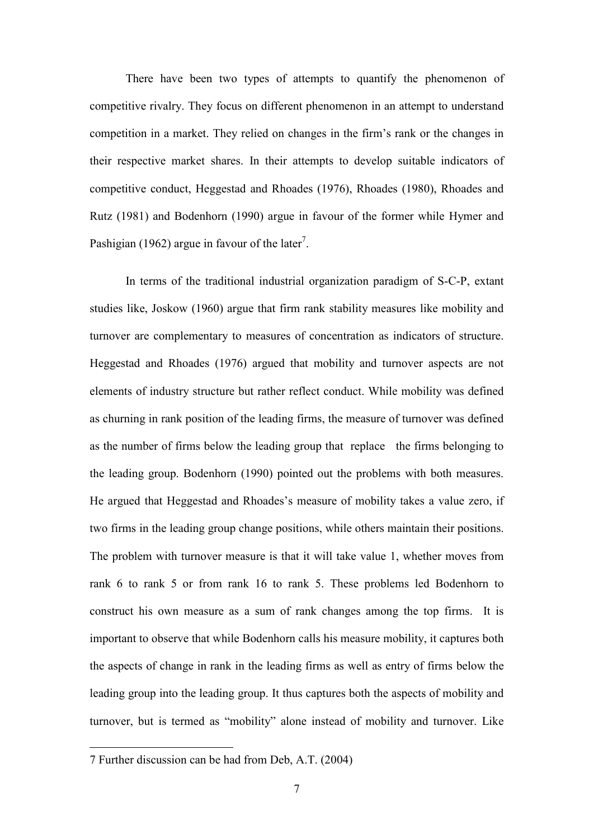There have been two types of attempts to quantify the phenomenon of competitive rivalry. They focus on different phenomenon in an attempt to understand competition in a market. They relied on changes in the firm's rank or the changes in their respective market shares. In their attempts to develop suitable indicators of competitive conduct, Heggestad and Rhoades (1976), Rhoades (1980), Rhoades and Rutz (1981) and Bodenhorn (1990) argue in favour of the former while Hymer and Pashigian (1962) argue in favour of the later<sup>7</sup>.

In terms of the traditional industrial organization paradigm of S-C-P, extant studies like, Joskow (1960) argue that firm rank stability measures like mobility and turnover are complementary to measures of concentration as indicators of structure. Heggestad and Rhoades (1976) argued that mobility and turnover aspects are not elements of industry structure but rather reflect conduct. While mobility was defined as churning in rank position of the leading firms, the measure of turnover was defined as the number of firms below the leading group that replace the firms belonging to the leading group. Bodenhorn (1990) pointed out the problems with both measures. He argued that Heggestad and Rhoades's measure of mobility takes a value zero, if two firms in the leading group change positions, while others maintain their positions. The problem with turnover measure is that it will take value 1, whether moves from rank 6 to rank 5 or from rank 16 to rank 5. These problems led Bodenhorn to construct his own measure as a sum of rank changes among the top firms. It is important to observe that while Bodenhorn calls his measure mobility, it captures both the aspects of change in rank in the leading firms as well as entry of firms below the leading group into the leading group. It thus captures both the aspects of mobility and turnover, but is termed as "mobility" alone instead of mobility and turnover. Like

<sup>7</sup> Further discussion can be had from Deb, A.T. (2004)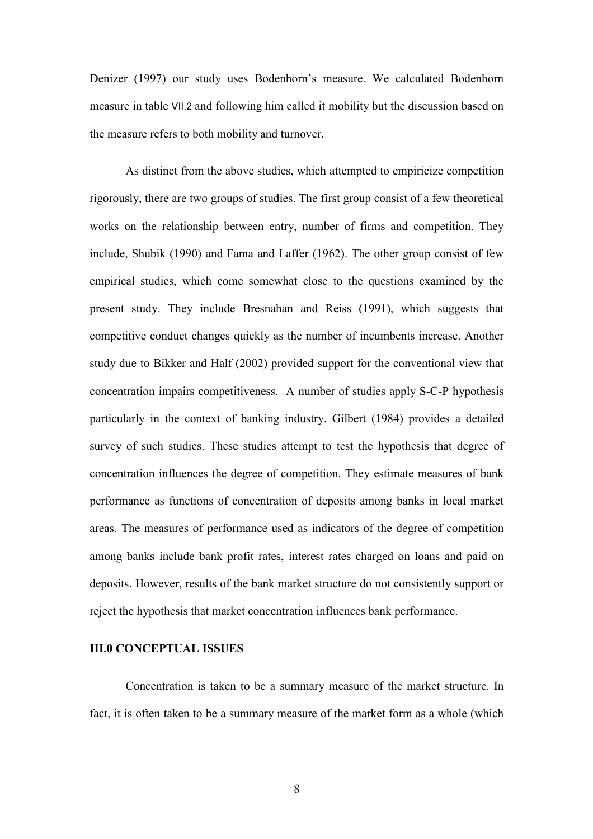Denizer (1997) our study uses Bodenhorn's measure. We calculated Bodenhorn measure in table VII.2 and following him called it mobility but the discussion based on the measure refers to both mobility and turnover.

As distinct from the above studies, which attempted to empiricize competition rigorously, there are two groups of studies. The first group consist of a few theoretical works on the relationship between entry, number of firms and competition. They include, Shubik (1990) and Fama and Laffer (1962). The other group consist of few empirical studies, which come somewhat close to the questions examined by the present study. They include Bresnahan and Reiss (1991), which suggests that competitive conduct changes quickly as the number of incumbents increase. Another study due to Bikker and Half (2002) provided support for the conventional view that concentration impairs competitiveness. A number of studies apply S-C-P hypothesis particularly in the context of banking industry. Gilbert (1984) provides a detailed survey of such studies. These studies attempt to test the hypothesis that degree of concentration influences the degree of competition. They estimate measures of bank performance as functions of concentration of deposits among banks in local market areas. The measures of performance used as indicators of the degree of competition among banks include bank profit rates, interest rates charged on loans and paid on deposits. However, results of the bank market structure do not consistently support or reject the hypothesis that market concentration influences bank performance.

### III.0 CONCEPTUAL ISSUES

Concentration is taken to be a summary measure of the market structure. In fact, it is often taken to be a summary measure of the market form as a whole (which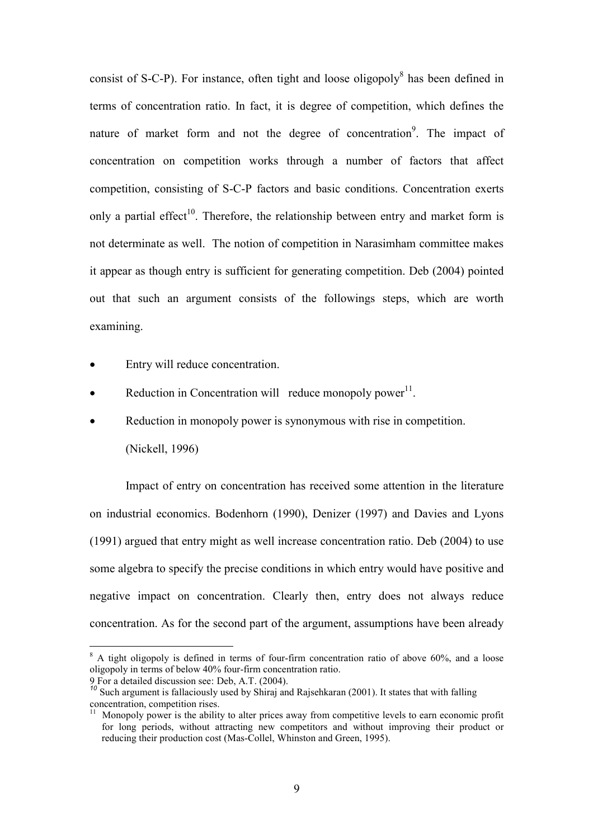consist of S-C-P). For instance, often tight and loose oligopoly $\delta$  has been defined in terms of concentration ratio. In fact, it is degree of competition, which defines the nature of market form and not the degree of concentration<sup>9</sup>. The impact of concentration on competition works through a number of factors that affect competition, consisting of S-C-P factors and basic conditions. Concentration exerts only a partial effect<sup>10</sup>. Therefore, the relationship between entry and market form is not determinate as well. The notion of competition in Narasimham committee makes it appear as though entry is sufficient for generating competition. Deb (2004) pointed out that such an argument consists of the followings steps, which are worth examining.

- Entry will reduce concentration.
- Reduction in Concentration will reduce monopoly power $11$ .
- Reduction in monopoly power is synonymous with rise in competition. (Nickell, 1996)

Impact of entry on concentration has received some attention in the literature on industrial economics. Bodenhorn (1990), Denizer (1997) and Davies and Lyons (1991) argued that entry might as well increase concentration ratio. Deb (2004) to use some algebra to specify the precise conditions in which entry would have positive and negative impact on concentration. Clearly then, entry does not always reduce concentration. As for the second part of the argument, assumptions have been already

<sup>&</sup>lt;sup>8</sup> A tight oligopoly is defined in terms of four-firm concentration ratio of above 60%, and a loose oligopoly in terms of below 40% four-firm concentration ratio.

<sup>9</sup> For a detailed discussion see: Deb, A.T. (2004).

 $10$  Such argument is fallaciously used by Shiraj and Rajsehkaran (2001). It states that with falling concentration, competition rises.

<sup>&</sup>lt;sup>11</sup> Monopoly power is the ability to alter prices away from competitive levels to earn economic profit for long periods, without attracting new competitors and without improving their product or reducing their production cost (Mas-Collel, Whinston and Green, 1995).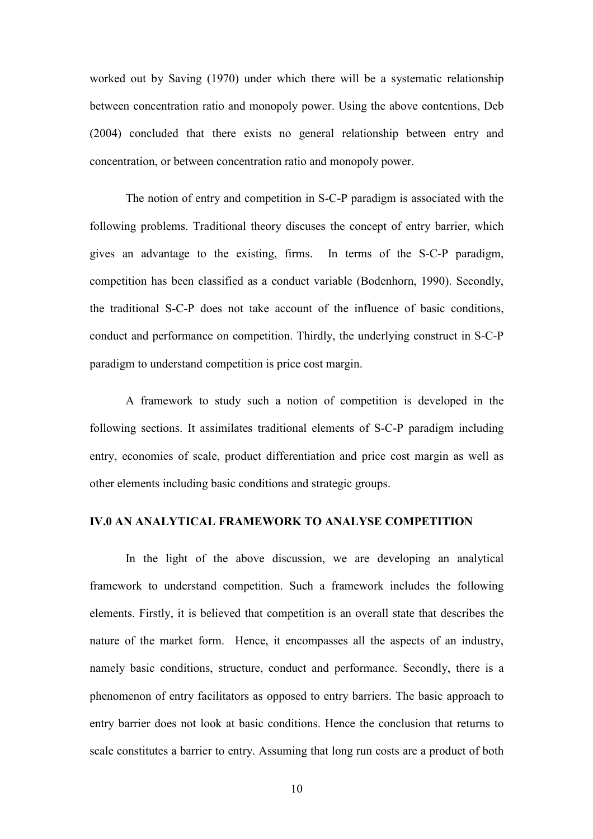worked out by Saving (1970) under which there will be a systematic relationship between concentration ratio and monopoly power. Using the above contentions, Deb (2004) concluded that there exists no general relationship between entry and concentration, or between concentration ratio and monopoly power.

The notion of entry and competition in S-C-P paradigm is associated with the following problems. Traditional theory discuses the concept of entry barrier, which gives an advantage to the existing, firms. In terms of the S-C-P paradigm, competition has been classified as a conduct variable (Bodenhorn, 1990). Secondly, the traditional S-C-P does not take account of the influence of basic conditions, conduct and performance on competition. Thirdly, the underlying construct in S-C-P paradigm to understand competition is price cost margin.

A framework to study such a notion of competition is developed in the following sections. It assimilates traditional elements of S-C-P paradigm including entry, economies of scale, product differentiation and price cost margin as well as other elements including basic conditions and strategic groups.

# IV.0 AN ANALYTICAL FRAMEWORK TO ANALYSE COMPETITION

In the light of the above discussion, we are developing an analytical framework to understand competition. Such a framework includes the following elements. Firstly, it is believed that competition is an overall state that describes the nature of the market form. Hence, it encompasses all the aspects of an industry, namely basic conditions, structure, conduct and performance. Secondly, there is a phenomenon of entry facilitators as opposed to entry barriers. The basic approach to entry barrier does not look at basic conditions. Hence the conclusion that returns to scale constitutes a barrier to entry. Assuming that long run costs are a product of both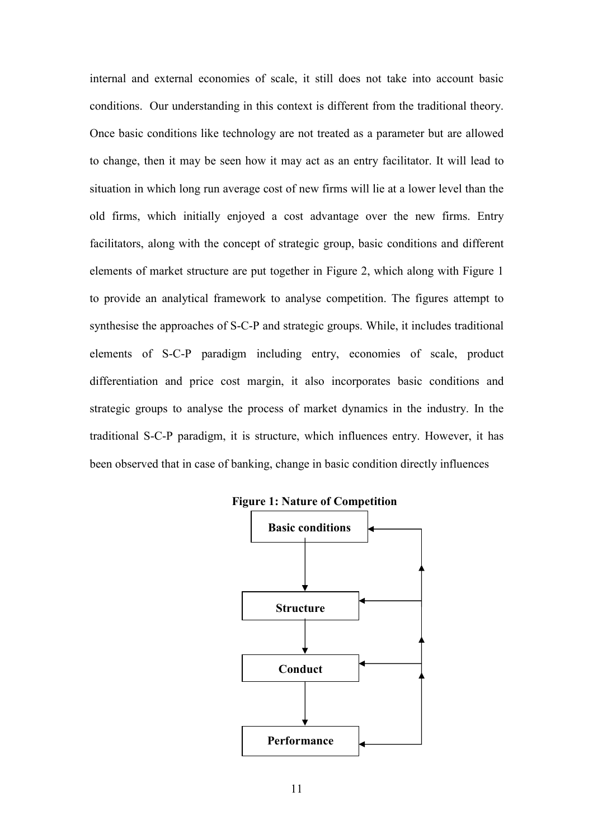internal and external economies of scale, it still does not take into account basic conditions. Our understanding in this context is different from the traditional theory. Once basic conditions like technology are not treated as a parameter but are allowed to change, then it may be seen how it may act as an entry facilitator. It will lead to situation in which long run average cost of new firms will lie at a lower level than the old firms, which initially enjoyed a cost advantage over the new firms. Entry facilitators, along with the concept of strategic group, basic conditions and different elements of market structure are put together in Figure 2, which along with Figure 1 to provide an analytical framework to analyse competition. The figures attempt to synthesise the approaches of S-C-P and strategic groups. While, it includes traditional elements of S-C-P paradigm including entry, economies of scale, product differentiation and price cost margin, it also incorporates basic conditions and strategic groups to analyse the process of market dynamics in the industry. In the traditional S-C-P paradigm, it is structure, which influences entry. However, it has been observed that in case of banking, change in basic condition directly influences



Figure 1: Nature of Competition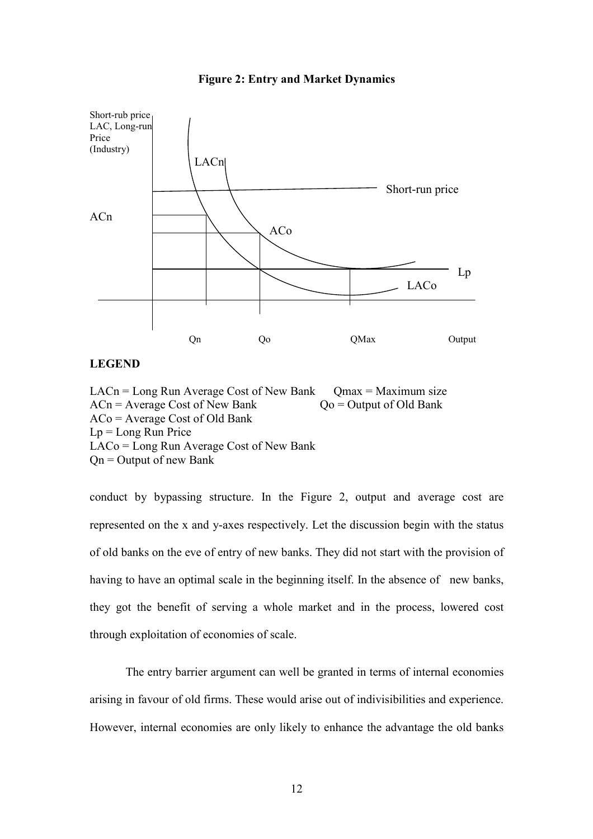

### Figure 2: Entry and Market Dynamics

### LEGEND

 $LACn = Long Run Average Cost of New Bank$   $Qmax = Maximum size$  $ACn = Average Cost of New Bank$   $Qo = Output of Old Bank$ ACo = Average Cost of Old Bank  $Lp = Long Run Price$ LACo = Long Run Average Cost of New Bank  $Qn$  = Output of new Bank

conduct by bypassing structure. In the Figure 2, output and average cost are represented on the x and y-axes respectively. Let the discussion begin with the status of old banks on the eve of entry of new banks. They did not start with the provision of having to have an optimal scale in the beginning itself. In the absence of new banks, they got the benefit of serving a whole market and in the process, lowered cost through exploitation of economies of scale.

The entry barrier argument can well be granted in terms of internal economies arising in favour of old firms. These would arise out of indivisibilities and experience. However, internal economies are only likely to enhance the advantage the old banks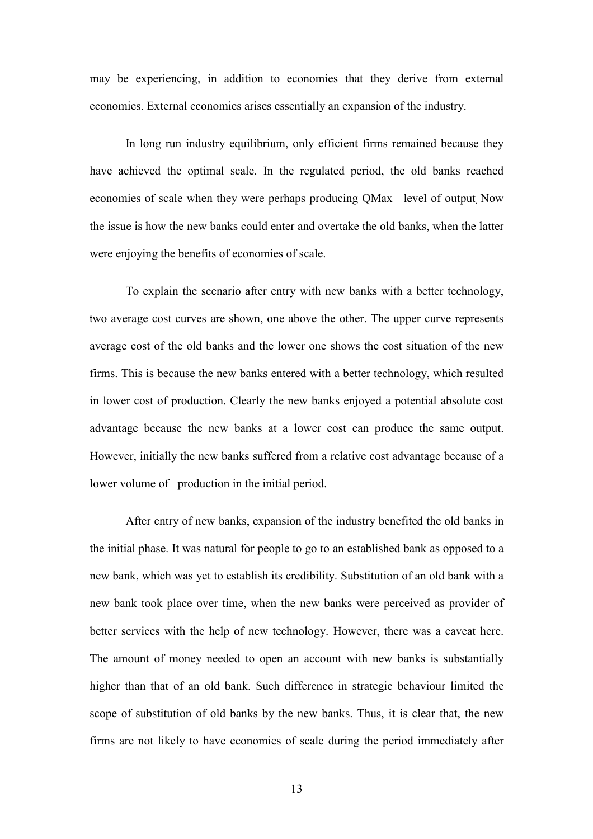may be experiencing, in addition to economies that they derive from external economies. External economies arises essentially an expansion of the industry.

In long run industry equilibrium, only efficient firms remained because they have achieved the optimal scale. In the regulated period, the old banks reached economies of scale when they were perhaps producing QMax level of output. Now the issue is how the new banks could enter and overtake the old banks, when the latter were enjoying the benefits of economies of scale.

 To explain the scenario after entry with new banks with a better technology, two average cost curves are shown, one above the other. The upper curve represents average cost of the old banks and the lower one shows the cost situation of the new firms. This is because the new banks entered with a better technology, which resulted in lower cost of production. Clearly the new banks enjoyed a potential absolute cost advantage because the new banks at a lower cost can produce the same output. However, initially the new banks suffered from a relative cost advantage because of a lower volume of production in the initial period.

After entry of new banks, expansion of the industry benefited the old banks in the initial phase. It was natural for people to go to an established bank as opposed to a new bank, which was yet to establish its credibility. Substitution of an old bank with a new bank took place over time, when the new banks were perceived as provider of better services with the help of new technology. However, there was a caveat here. The amount of money needed to open an account with new banks is substantially higher than that of an old bank. Such difference in strategic behaviour limited the scope of substitution of old banks by the new banks. Thus, it is clear that, the new firms are not likely to have economies of scale during the period immediately after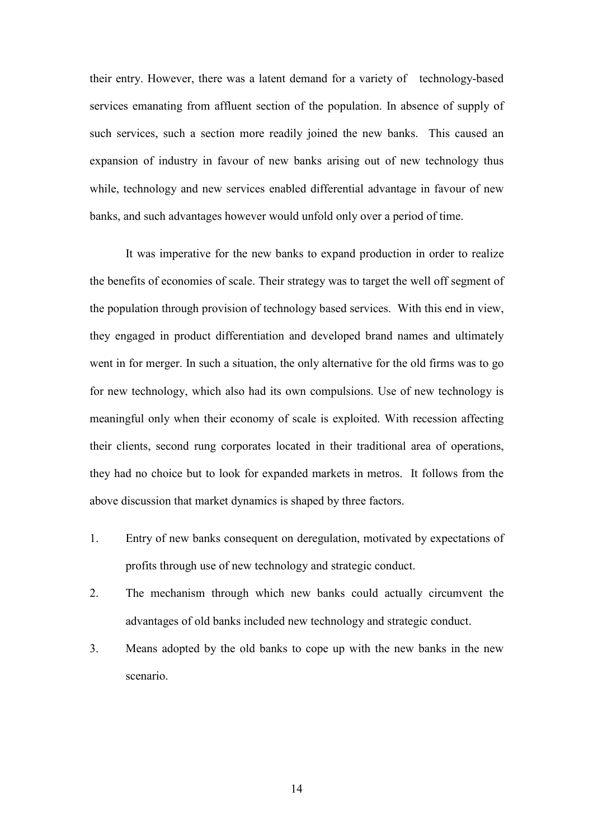their entry. However, there was a latent demand for a variety of technology-based services emanating from affluent section of the population. In absence of supply of such services, such a section more readily joined the new banks. This caused an expansion of industry in favour of new banks arising out of new technology thus while, technology and new services enabled differential advantage in favour of new banks, and such advantages however would unfold only over a period of time.

It was imperative for the new banks to expand production in order to realize the benefits of economies of scale. Their strategy was to target the well off segment of the population through provision of technology based services. With this end in view, they engaged in product differentiation and developed brand names and ultimately went in for merger. In such a situation, the only alternative for the old firms was to go for new technology, which also had its own compulsions. Use of new technology is meaningful only when their economy of scale is exploited. With recession affecting their clients, second rung corporates located in their traditional area of operations, they had no choice but to look for expanded markets in metros. It follows from the above discussion that market dynamics is shaped by three factors.

- 1. Entry of new banks consequent on deregulation, motivated by expectations of profits through use of new technology and strategic conduct.
- 2. The mechanism through which new banks could actually circumvent the advantages of old banks included new technology and strategic conduct.
- 3. Means adopted by the old banks to cope up with the new banks in the new scenario.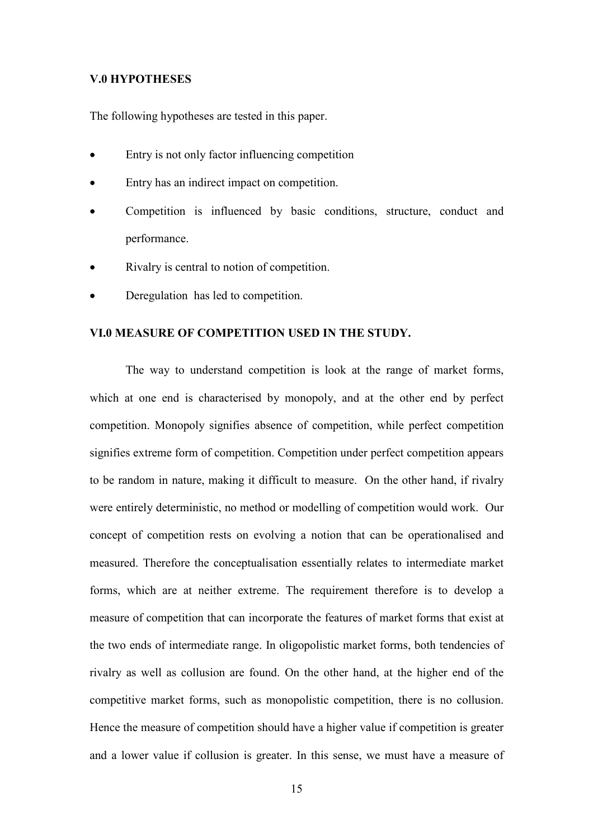### V.0 HYPOTHESES

The following hypotheses are tested in this paper.

- Entry is not only factor influencing competition
- Entry has an indirect impact on competition.
- Competition is influenced by basic conditions, structure, conduct and performance.
- Rivalry is central to notion of competition.
- Deregulation has led to competition.

### VI.0 MEASURE OF COMPETITION USED IN THE STUDY.

The way to understand competition is look at the range of market forms, which at one end is characterised by monopoly, and at the other end by perfect competition. Monopoly signifies absence of competition, while perfect competition signifies extreme form of competition. Competition under perfect competition appears to be random in nature, making it difficult to measure. On the other hand, if rivalry were entirely deterministic, no method or modelling of competition would work. Our concept of competition rests on evolving a notion that can be operationalised and measured. Therefore the conceptualisation essentially relates to intermediate market forms, which are at neither extreme. The requirement therefore is to develop a measure of competition that can incorporate the features of market forms that exist at the two ends of intermediate range. In oligopolistic market forms, both tendencies of rivalry as well as collusion are found. On the other hand, at the higher end of the competitive market forms, such as monopolistic competition, there is no collusion. Hence the measure of competition should have a higher value if competition is greater and a lower value if collusion is greater. In this sense, we must have a measure of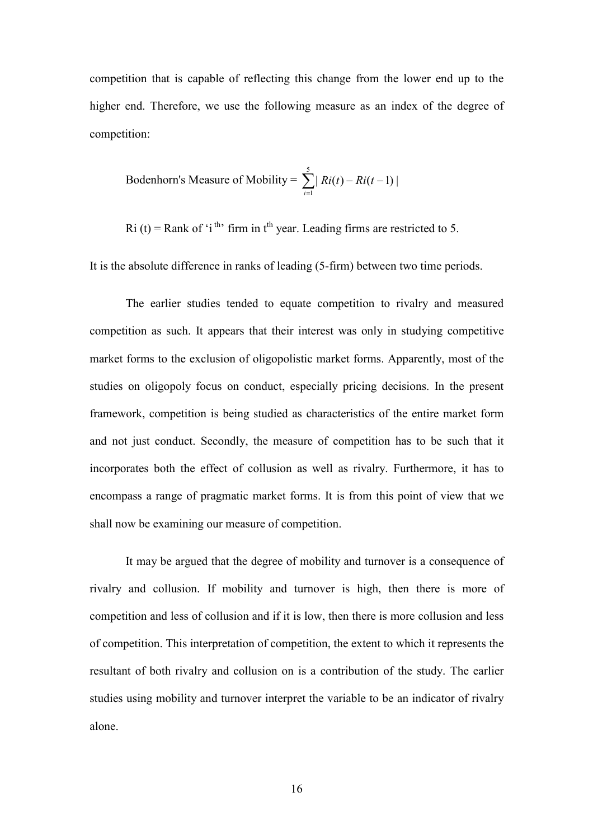competition that is capable of reflecting this change from the lower end up to the higher end. Therefore, we use the following measure as an index of the degree of competition:

$$
Bodenhorn's Measure of Mobility = \sum_{i=1}^{5} | Ri(t) - Ri(t-1) |
$$

Ri (t) = Rank of 'i<sup>th</sup>' firm in t<sup>th</sup> year. Leading firms are restricted to 5.

It is the absolute difference in ranks of leading (5-firm) between two time periods.

The earlier studies tended to equate competition to rivalry and measured competition as such. It appears that their interest was only in studying competitive market forms to the exclusion of oligopolistic market forms. Apparently, most of the studies on oligopoly focus on conduct, especially pricing decisions. In the present framework, competition is being studied as characteristics of the entire market form and not just conduct. Secondly, the measure of competition has to be such that it incorporates both the effect of collusion as well as rivalry. Furthermore, it has to encompass a range of pragmatic market forms. It is from this point of view that we shall now be examining our measure of competition.

It may be argued that the degree of mobility and turnover is a consequence of rivalry and collusion. If mobility and turnover is high, then there is more of competition and less of collusion and if it is low, then there is more collusion and less of competition. This interpretation of competition, the extent to which it represents the resultant of both rivalry and collusion on is a contribution of the study. The earlier studies using mobility and turnover interpret the variable to be an indicator of rivalry alone.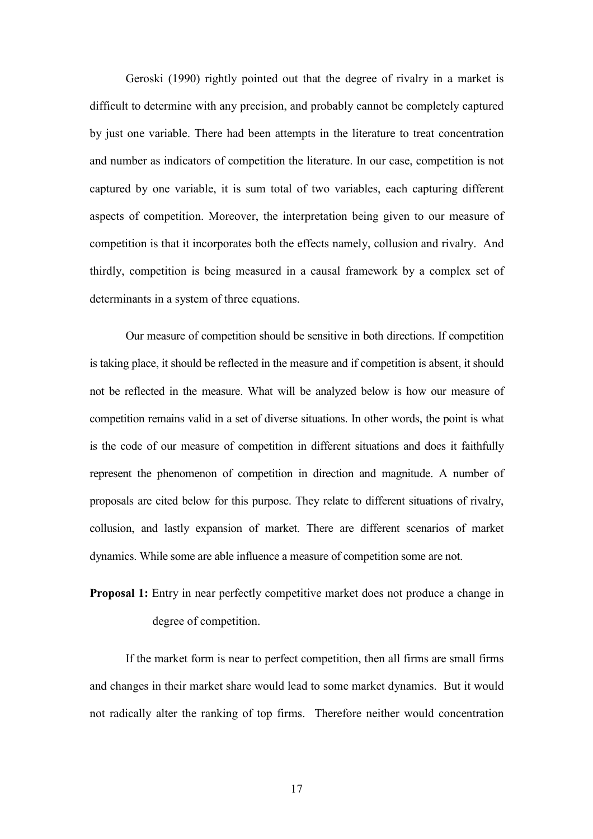Geroski (1990) rightly pointed out that the degree of rivalry in a market is difficult to determine with any precision, and probably cannot be completely captured by just one variable. There had been attempts in the literature to treat concentration and number as indicators of competition the literature. In our case, competition is not captured by one variable, it is sum total of two variables, each capturing different aspects of competition. Moreover, the interpretation being given to our measure of competition is that it incorporates both the effects namely, collusion and rivalry. And thirdly, competition is being measured in a causal framework by a complex set of determinants in a system of three equations.

Our measure of competition should be sensitive in both directions. If competition is taking place, it should be reflected in the measure and if competition is absent, it should not be reflected in the measure. What will be analyzed below is how our measure of competition remains valid in a set of diverse situations. In other words, the point is what is the code of our measure of competition in different situations and does it faithfully represent the phenomenon of competition in direction and magnitude. A number of proposals are cited below for this purpose. They relate to different situations of rivalry, collusion, and lastly expansion of market. There are different scenarios of market dynamics. While some are able influence a measure of competition some are not.

# Proposal 1: Entry in near perfectly competitive market does not produce a change in degree of competition.

If the market form is near to perfect competition, then all firms are small firms and changes in their market share would lead to some market dynamics. But it would not radically alter the ranking of top firms. Therefore neither would concentration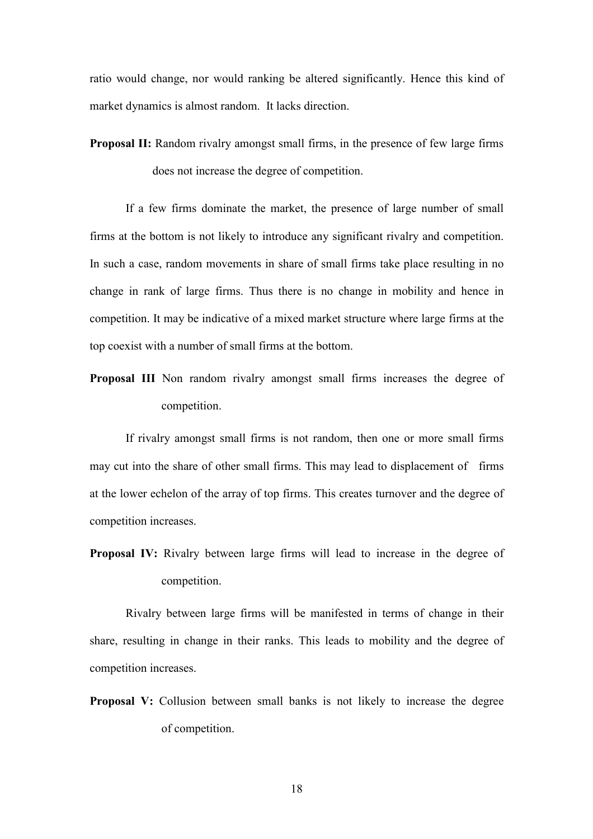ratio would change, nor would ranking be altered significantly. Hence this kind of market dynamics is almost random. It lacks direction.

Proposal II: Random rivalry amongst small firms, in the presence of few large firms does not increase the degree of competition.

If a few firms dominate the market, the presence of large number of small firms at the bottom is not likely to introduce any significant rivalry and competition. In such a case, random movements in share of small firms take place resulting in no change in rank of large firms. Thus there is no change in mobility and hence in competition. It may be indicative of a mixed market structure where large firms at the top coexist with a number of small firms at the bottom.

Proposal III Non random rivalry amongst small firms increases the degree of competition.

If rivalry amongst small firms is not random, then one or more small firms may cut into the share of other small firms. This may lead to displacement of firms at the lower echelon of the array of top firms. This creates turnover and the degree of competition increases.

Proposal IV: Rivalry between large firms will lead to increase in the degree of competition.

Rivalry between large firms will be manifested in terms of change in their share, resulting in change in their ranks. This leads to mobility and the degree of competition increases.

Proposal V: Collusion between small banks is not likely to increase the degree of competition.

18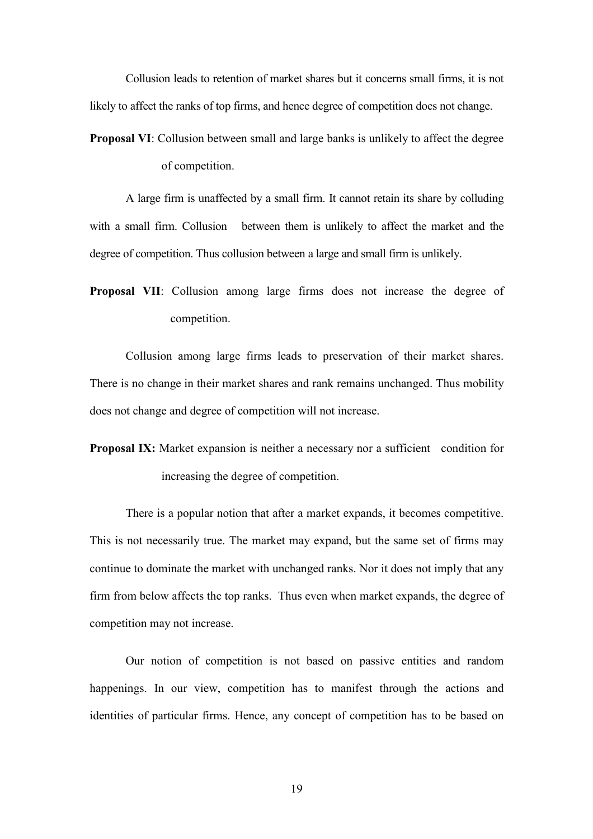Collusion leads to retention of market shares but it concerns small firms, it is not likely to affect the ranks of top firms, and hence degree of competition does not change.

Proposal VI: Collusion between small and large banks is unlikely to affect the degree of competition.

A large firm is unaffected by a small firm. It cannot retain its share by colluding with a small firm. Collusion between them is unlikely to affect the market and the degree of competition. Thus collusion between a large and small firm is unlikely.

Proposal VII: Collusion among large firms does not increase the degree of competition.

Collusion among large firms leads to preservation of their market shares. There is no change in their market shares and rank remains unchanged. Thus mobility does not change and degree of competition will not increase.

Proposal IX: Market expansion is neither a necessary nor a sufficient condition for increasing the degree of competition.

There is a popular notion that after a market expands, it becomes competitive. This is not necessarily true. The market may expand, but the same set of firms may continue to dominate the market with unchanged ranks. Nor it does not imply that any firm from below affects the top ranks. Thus even when market expands, the degree of competition may not increase.

Our notion of competition is not based on passive entities and random happenings. In our view, competition has to manifest through the actions and identities of particular firms. Hence, any concept of competition has to be based on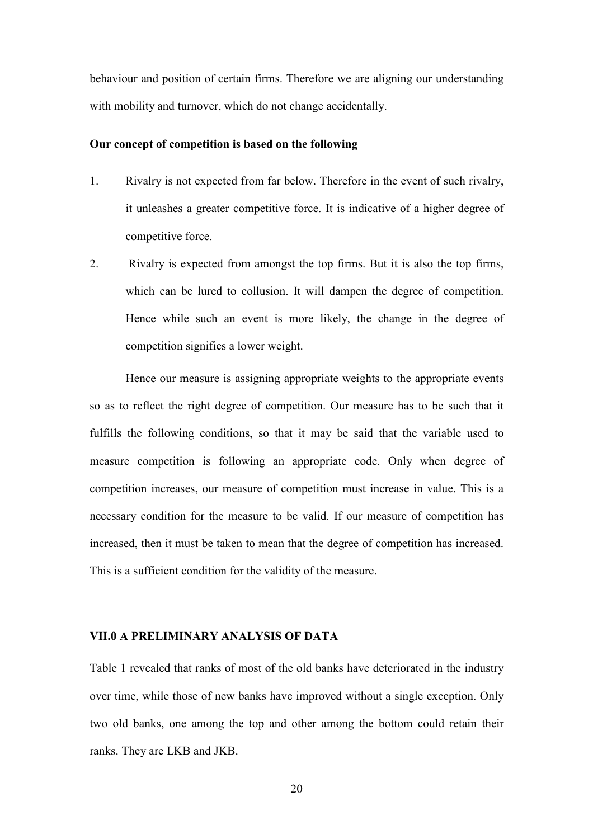behaviour and position of certain firms. Therefore we are aligning our understanding with mobility and turnover, which do not change accidentally.

### Our concept of competition is based on the following

- 1. Rivalry is not expected from far below. Therefore in the event of such rivalry, it unleashes a greater competitive force. It is indicative of a higher degree of competitive force.
- 2. Rivalry is expected from amongst the top firms. But it is also the top firms, which can be lured to collusion. It will dampen the degree of competition. Hence while such an event is more likely, the change in the degree of competition signifies a lower weight.

 Hence our measure is assigning appropriate weights to the appropriate events so as to reflect the right degree of competition. Our measure has to be such that it fulfills the following conditions, so that it may be said that the variable used to measure competition is following an appropriate code. Only when degree of competition increases, our measure of competition must increase in value. This is a necessary condition for the measure to be valid. If our measure of competition has increased, then it must be taken to mean that the degree of competition has increased. This is a sufficient condition for the validity of the measure.

### VII.0 A PRELIMINARY ANALYSIS OF DATA

Table 1 revealed that ranks of most of the old banks have deteriorated in the industry over time, while those of new banks have improved without a single exception. Only two old banks, one among the top and other among the bottom could retain their ranks. They are LKB and JKB.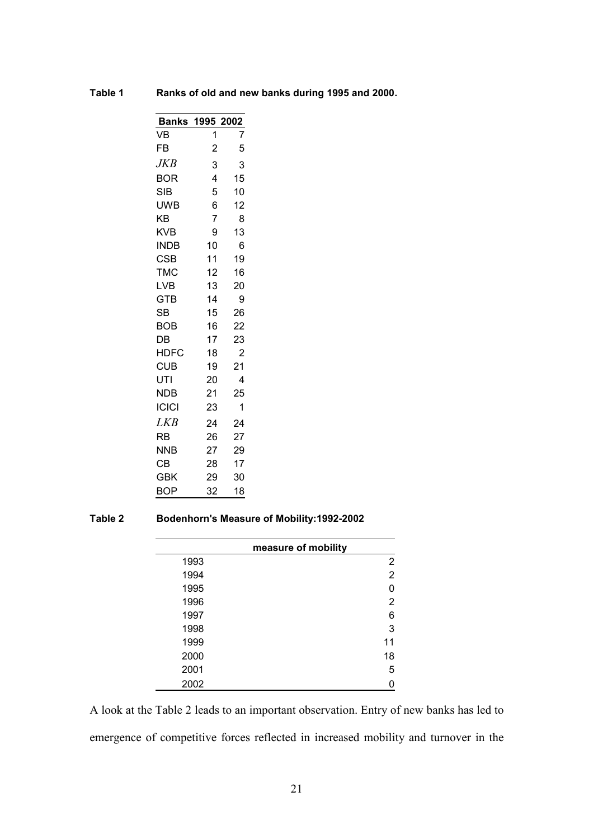| Table 1 | Ranks of old and new banks during 1995 and 2000. |
|---------|--------------------------------------------------|
|---------|--------------------------------------------------|

| <b>Banks</b> | 1995           | 2002           |
|--------------|----------------|----------------|
| <b>VB</b>    | 1              | 7              |
| FB           | $\overline{c}$ | 5              |
| JKB          | 3              | 3              |
| <b>BOR</b>   | 4              | 15             |
| <b>SIB</b>   | 5              | 10             |
| <b>UWB</b>   | 6              | 12             |
| KΒ           | $\overline{7}$ | 8              |
| <b>KVB</b>   | 9              | 13             |
| <b>INDB</b>  | 10             | 6              |
| <b>CSB</b>   | 11             | 19             |
| <b>TMC</b>   | 12             | 16             |
| <b>LVB</b>   | 13             | 20             |
| <b>GTB</b>   | 14             | 9              |
| SB           | 15             | 26             |
| <b>BOB</b>   | 16             | 22             |
| DB           | 17             | 23             |
| <b>HDFC</b>  | 18             | $\overline{2}$ |
| <b>CUB</b>   | 19             | 21             |
| UTI          | 20             | 4              |
| <b>NDB</b>   | 21             | 25             |
| <b>ICICI</b> | 23             | 1              |
| <b>LKB</b>   | 24             | 24             |
| <b>RB</b>    | 26             | 27             |
| <b>NNB</b>   | 27             | 29             |
| СB           | 28             | 17             |
| GBK          | 29             | 30             |
| <b>BOP</b>   | 32             | 18             |

Table 2 Bodenhorn's Measure of Mobility:1992-2002

| measure of mobility |    |
|---------------------|----|
| 1993                | 2  |
| 1994                | 2  |
| 1995                | 0  |
| 1996                | 2  |
| 1997                | 6  |
| 1998                | 3  |
| 1999                | 11 |
| 2000                | 18 |
| 2001                | 5  |
| 2002                |    |

A look at the Table 2 leads to an important observation. Entry of new banks has led to emergence of competitive forces reflected in increased mobility and turnover in the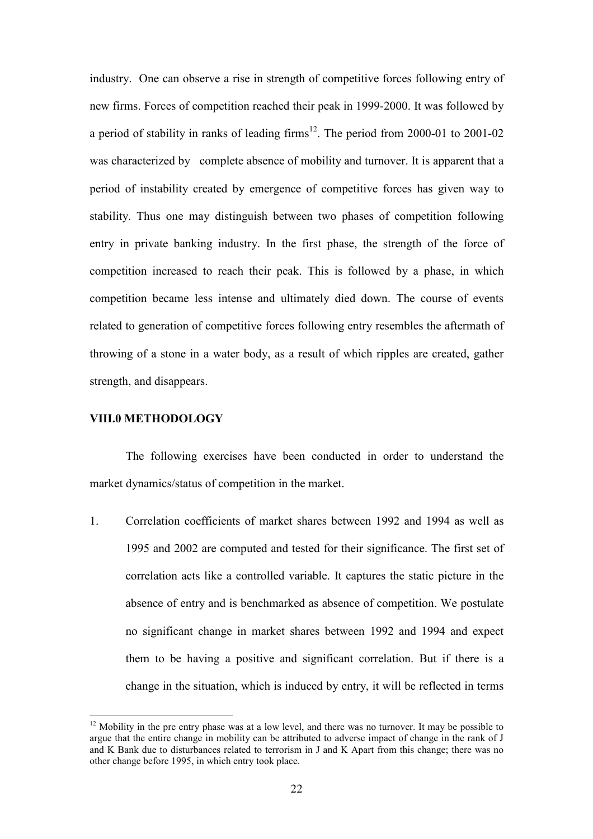industry. One can observe a rise in strength of competitive forces following entry of new firms. Forces of competition reached their peak in 1999-2000. It was followed by a period of stability in ranks of leading firms<sup>12</sup>. The period from 2000-01 to 2001-02 was characterized by complete absence of mobility and turnover. It is apparent that a period of instability created by emergence of competitive forces has given way to stability. Thus one may distinguish between two phases of competition following entry in private banking industry. In the first phase, the strength of the force of competition increased to reach their peak. This is followed by a phase, in which competition became less intense and ultimately died down. The course of events related to generation of competitive forces following entry resembles the aftermath of throwing of a stone in a water body, as a result of which ripples are created, gather strength, and disappears.

# VIII.0 METHODOLOGY

 $\overline{a}$ 

The following exercises have been conducted in order to understand the market dynamics/status of competition in the market.

1. Correlation coefficients of market shares between 1992 and 1994 as well as 1995 and 2002 are computed and tested for their significance. The first set of correlation acts like a controlled variable. It captures the static picture in the absence of entry and is benchmarked as absence of competition. We postulate no significant change in market shares between 1992 and 1994 and expect them to be having a positive and significant correlation. But if there is a change in the situation, which is induced by entry, it will be reflected in terms

 $12$  Mobility in the pre entry phase was at a low level, and there was no turnover. It may be possible to argue that the entire change in mobility can be attributed to adverse impact of change in the rank of J and K Bank due to disturbances related to terrorism in J and K Apart from this change; there was no other change before 1995, in which entry took place.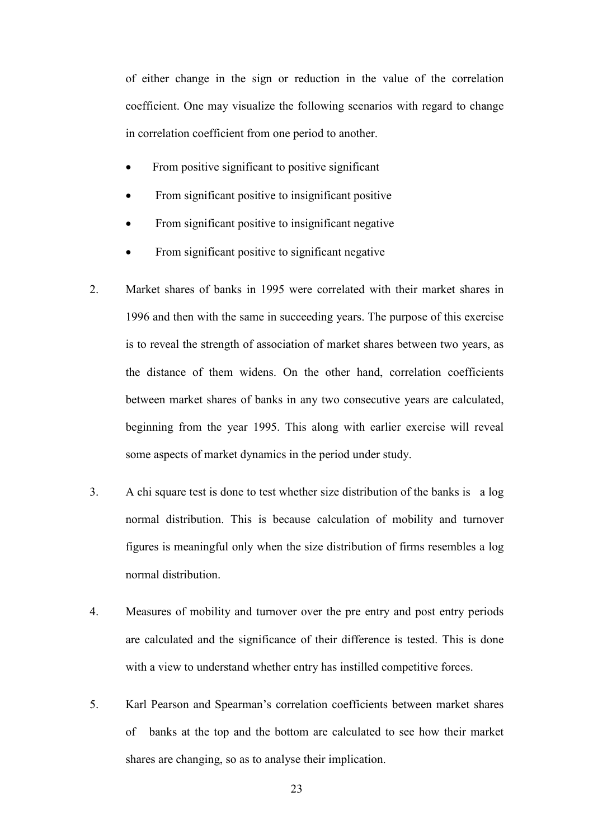of either change in the sign or reduction in the value of the correlation coefficient. One may visualize the following scenarios with regard to change in correlation coefficient from one period to another.

- From positive significant to positive significant
- From significant positive to insignificant positive
- From significant positive to insignificant negative
- From significant positive to significant negative
- 2. Market shares of banks in 1995 were correlated with their market shares in 1996 and then with the same in succeeding years. The purpose of this exercise is to reveal the strength of association of market shares between two years, as the distance of them widens. On the other hand, correlation coefficients between market shares of banks in any two consecutive years are calculated, beginning from the year 1995. This along with earlier exercise will reveal some aspects of market dynamics in the period under study.
- 3. A chi square test is done to test whether size distribution of the banks is a log normal distribution. This is because calculation of mobility and turnover figures is meaningful only when the size distribution of firms resembles a log normal distribution.
- 4. Measures of mobility and turnover over the pre entry and post entry periods are calculated and the significance of their difference is tested. This is done with a view to understand whether entry has instilled competitive forces.
- 5. Karl Pearson and Spearman's correlation coefficients between market shares of banks at the top and the bottom are calculated to see how their market shares are changing, so as to analyse their implication.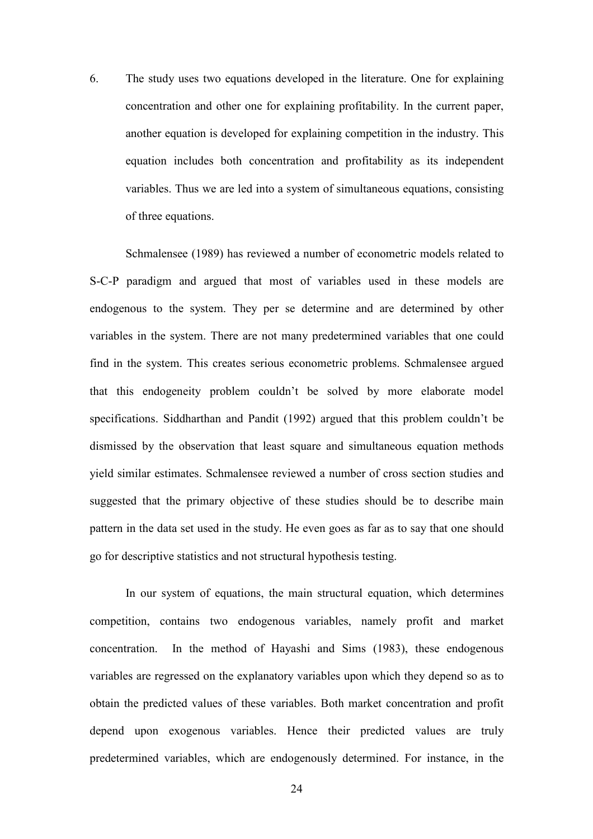6. The study uses two equations developed in the literature. One for explaining concentration and other one for explaining profitability. In the current paper, another equation is developed for explaining competition in the industry. This equation includes both concentration and profitability as its independent variables. Thus we are led into a system of simultaneous equations, consisting of three equations.

Schmalensee (1989) has reviewed a number of econometric models related to S-C-P paradigm and argued that most of variables used in these models are endogenous to the system. They per se determine and are determined by other variables in the system. There are not many predetermined variables that one could find in the system. This creates serious econometric problems. Schmalensee argued that this endogeneity problem couldn't be solved by more elaborate model specifications. Siddharthan and Pandit (1992) argued that this problem couldn't be dismissed by the observation that least square and simultaneous equation methods yield similar estimates. Schmalensee reviewed a number of cross section studies and suggested that the primary objective of these studies should be to describe main pattern in the data set used in the study. He even goes as far as to say that one should go for descriptive statistics and not structural hypothesis testing.

In our system of equations, the main structural equation, which determines competition, contains two endogenous variables, namely profit and market concentration. In the method of Hayashi and Sims (1983), these endogenous variables are regressed on the explanatory variables upon which they depend so as to obtain the predicted values of these variables. Both market concentration and profit depend upon exogenous variables. Hence their predicted values are truly predetermined variables, which are endogenously determined. For instance, in the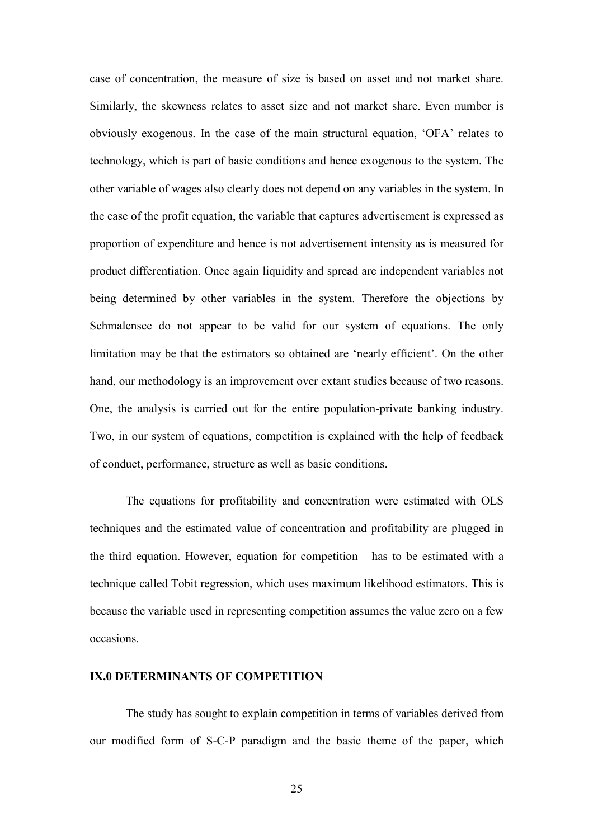case of concentration, the measure of size is based on asset and not market share. Similarly, the skewness relates to asset size and not market share. Even number is obviously exogenous. In the case of the main structural equation, 'OFA' relates to technology, which is part of basic conditions and hence exogenous to the system. The other variable of wages also clearly does not depend on any variables in the system. In the case of the profit equation, the variable that captures advertisement is expressed as proportion of expenditure and hence is not advertisement intensity as is measured for product differentiation. Once again liquidity and spread are independent variables not being determined by other variables in the system. Therefore the objections by Schmalensee do not appear to be valid for our system of equations. The only limitation may be that the estimators so obtained are 'nearly efficient'. On the other hand, our methodology is an improvement over extant studies because of two reasons. One, the analysis is carried out for the entire population-private banking industry. Two, in our system of equations, competition is explained with the help of feedback of conduct, performance, structure as well as basic conditions.

The equations for profitability and concentration were estimated with OLS techniques and the estimated value of concentration and profitability are plugged in the third equation. However, equation for competition has to be estimated with a technique called Tobit regression, which uses maximum likelihood estimators. This is because the variable used in representing competition assumes the value zero on a few occasions.

## IX.0 DETERMINANTS OF COMPETITION

 The study has sought to explain competition in terms of variables derived from our modified form of S-C-P paradigm and the basic theme of the paper, which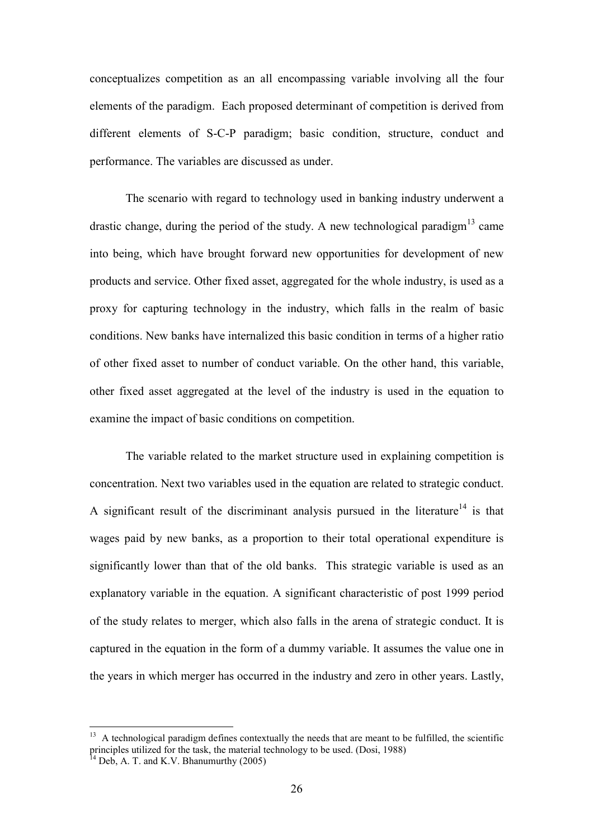conceptualizes competition as an all encompassing variable involving all the four elements of the paradigm. Each proposed determinant of competition is derived from different elements of S-C-P paradigm; basic condition, structure, conduct and performance. The variables are discussed as under.

 The scenario with regard to technology used in banking industry underwent a drastic change, during the period of the study. A new technological paradigm<sup>13</sup> came into being, which have brought forward new opportunities for development of new products and service. Other fixed asset, aggregated for the whole industry, is used as a proxy for capturing technology in the industry, which falls in the realm of basic conditions. New banks have internalized this basic condition in terms of a higher ratio of other fixed asset to number of conduct variable. On the other hand, this variable, other fixed asset aggregated at the level of the industry is used in the equation to examine the impact of basic conditions on competition.

 The variable related to the market structure used in explaining competition is concentration. Next two variables used in the equation are related to strategic conduct. A significant result of the discriminant analysis pursued in the literature<sup>14</sup> is that wages paid by new banks, as a proportion to their total operational expenditure is significantly lower than that of the old banks. This strategic variable is used as an explanatory variable in the equation. A significant characteristic of post 1999 period of the study relates to merger, which also falls in the arena of strategic conduct. It is captured in the equation in the form of a dummy variable. It assumes the value one in the years in which merger has occurred in the industry and zero in other years. Lastly,

<sup>13</sup> A technological paradigm defines contextually the needs that are meant to be fulfilled, the scientific principles utilized for the task, the material technology to be used. (Dosi, 1988)

 $14$  Deb, A. T. and K.V. Bhanumurthy (2005)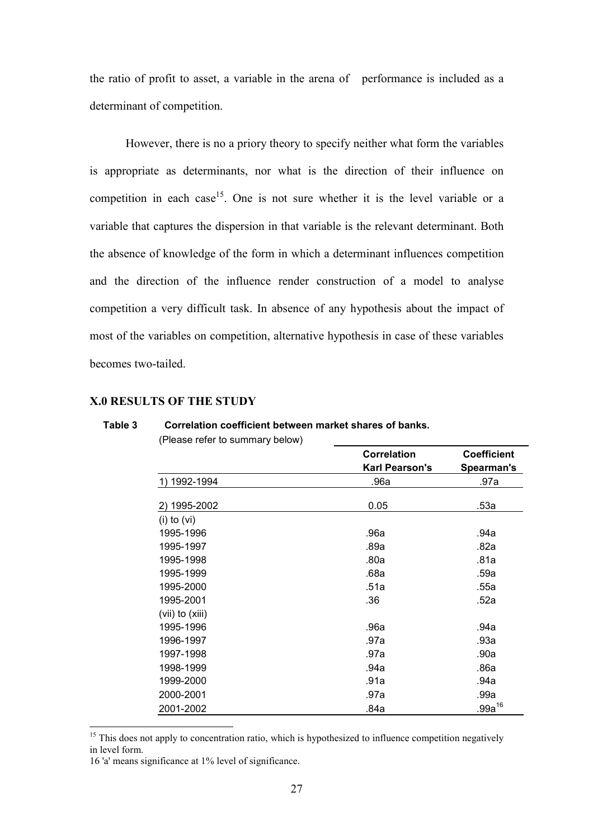the ratio of profit to asset, a variable in the arena of performance is included as a determinant of competition.

However, there is no a priory theory to specify neither what form the variables is appropriate as determinants, nor what is the direction of their influence on competition in each case<sup>15</sup>. One is not sure whether it is the level variable or a variable that captures the dispersion in that variable is the relevant determinant. Both the absence of knowledge of the form in which a determinant influences competition and the direction of the influence render construction of a model to analyse competition a very difficult task. In absence of any hypothesis about the impact of most of the variables on competition, alternative hypothesis in case of these variables becomes two-tailed.

# X.0 RESULTS OF THE STUDY

| (Please refer to summary below) |                       |                    |
|---------------------------------|-----------------------|--------------------|
|                                 | <b>Correlation</b>    | <b>Coefficient</b> |
|                                 | <b>Karl Pearson's</b> | Spearman's         |
| 1) 1992-1994                    | .96a                  | .97a               |
| 2) 1995-2002                    | 0.05                  | .53a               |
| $(i)$ to $(vi)$                 |                       |                    |
| 1995-1996                       | .96a                  | .94a               |
| 1995-1997                       | .89a                  | .82a               |
| 1995-1998                       | .80a                  | .81a               |
| 1995-1999                       | .68a                  | .59a               |
| 1995-2000                       | .51a                  | .55a               |
| 1995-2001                       | .36                   | .52a               |
| (vii) to (xiii)                 |                       |                    |
| 1995-1996                       | .96a                  | .94a               |
| 1996-1997                       | .97a                  | .93a               |
| 1997-1998                       | .97a                  | .90a               |
| 1998-1999                       | .94a                  | .86a               |
| 1999-2000                       | .91a                  | .94a               |
| 2000-2001                       | .97a                  | .99a               |
| 2001-2002                       | .84a                  | $.99a^{16}$        |

#### Table 3 Correlation coefficient between market shares of banks.

<sup>&</sup>lt;sup>15</sup> This does not apply to concentration ratio, which is hypothesized to influence competition negatively in level form.

<sup>16 &#</sup>x27;a' means significance at 1% level of significance.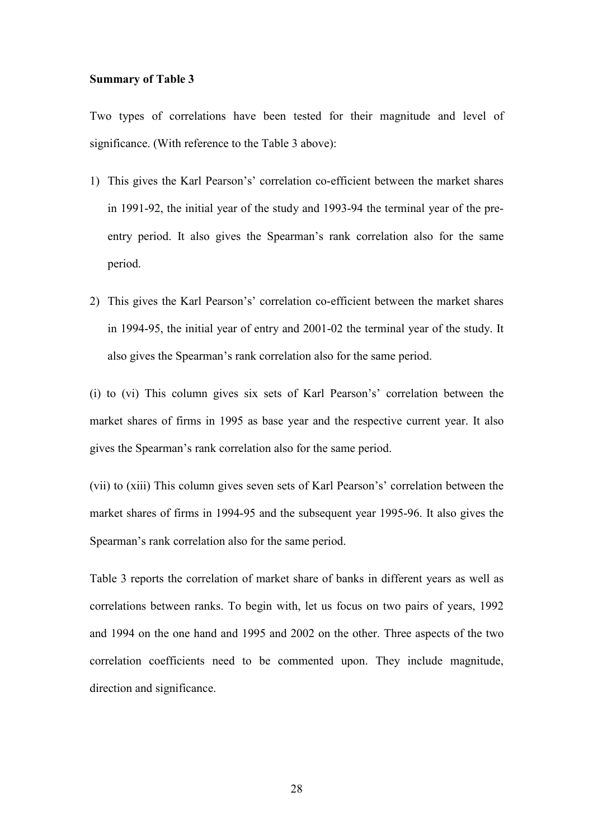### Summary of Table 3

Two types of correlations have been tested for their magnitude and level of significance. (With reference to the Table 3 above):

- 1) This gives the Karl Pearson's' correlation co-efficient between the market shares in 1991-92, the initial year of the study and 1993-94 the terminal year of the preentry period. It also gives the Spearman's rank correlation also for the same period.
- 2) This gives the Karl Pearson's' correlation co-efficient between the market shares in 1994-95, the initial year of entry and 2001-02 the terminal year of the study. It also gives the Spearman's rank correlation also for the same period.

(i) to (vi) This column gives six sets of Karl Pearson's' correlation between the market shares of firms in 1995 as base year and the respective current year. It also gives the Spearman's rank correlation also for the same period.

(vii) to (xiii) This column gives seven sets of Karl Pearson's' correlation between the market shares of firms in 1994-95 and the subsequent year 1995-96. It also gives the Spearman's rank correlation also for the same period.

Table 3 reports the correlation of market share of banks in different years as well as correlations between ranks. To begin with, let us focus on two pairs of years, 1992 and 1994 on the one hand and 1995 and 2002 on the other. Three aspects of the two correlation coefficients need to be commented upon. They include magnitude, direction and significance.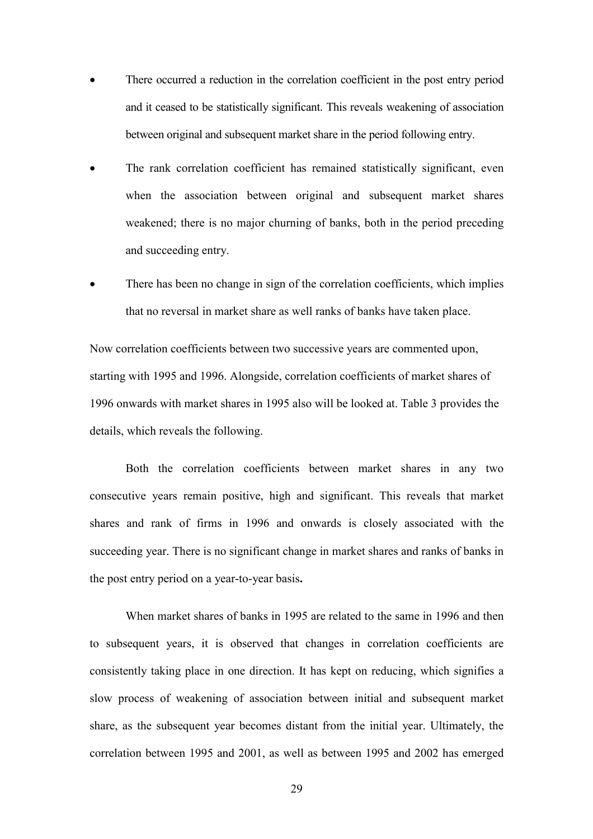- There occurred a reduction in the correlation coefficient in the post entry period and it ceased to be statistically significant. This reveals weakening of association between original and subsequent market share in the period following entry.
- The rank correlation coefficient has remained statistically significant, even when the association between original and subsequent market shares weakened; there is no major churning of banks, both in the period preceding and succeeding entry.
- There has been no change in sign of the correlation coefficients, which implies that no reversal in market share as well ranks of banks have taken place.

Now correlation coefficients between two successive years are commented upon, starting with 1995 and 1996. Alongside, correlation coefficients of market shares of 1996 onwards with market shares in 1995 also will be looked at. Table 3 provides the details, which reveals the following.

Both the correlation coefficients between market shares in any two consecutive years remain positive, high and significant. This reveals that market shares and rank of firms in 1996 and onwards is closely associated with the succeeding year. There is no significant change in market shares and ranks of banks in the post entry period on a year-to-year basis.

When market shares of banks in 1995 are related to the same in 1996 and then to subsequent years, it is observed that changes in correlation coefficients are consistently taking place in one direction. It has kept on reducing, which signifies a slow process of weakening of association between initial and subsequent market share, as the subsequent year becomes distant from the initial year. Ultimately, the correlation between 1995 and 2001, as well as between 1995 and 2002 has emerged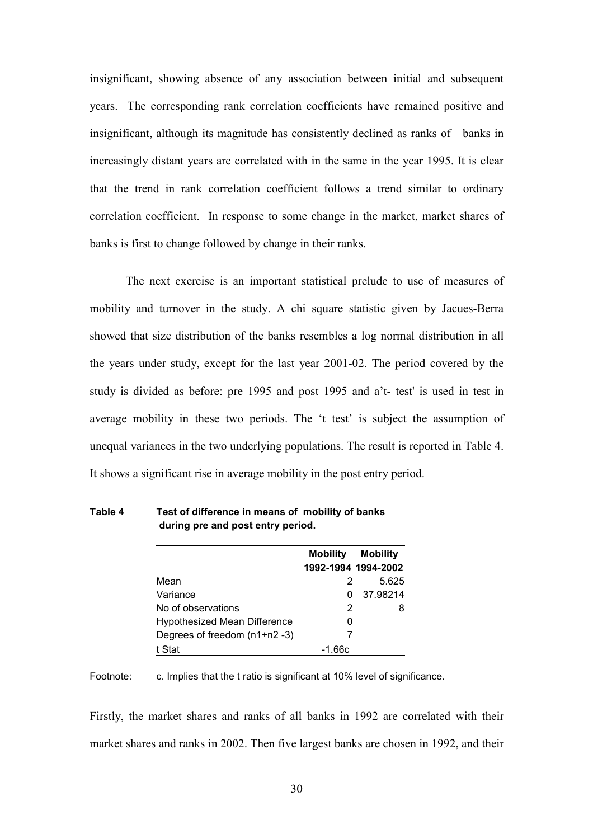insignificant, showing absence of any association between initial and subsequent years. The corresponding rank correlation coefficients have remained positive and insignificant, although its magnitude has consistently declined as ranks of banks in increasingly distant years are correlated with in the same in the year 1995. It is clear that the trend in rank correlation coefficient follows a trend similar to ordinary correlation coefficient. In response to some change in the market, market shares of banks is first to change followed by change in their ranks.

The next exercise is an important statistical prelude to use of measures of mobility and turnover in the study. A chi square statistic given by Jacues-Berra showed that size distribution of the banks resembles a log normal distribution in all the years under study, except for the last year 2001-02. The period covered by the study is divided as before: pre 1995 and post 1995 and a't- test' is used in test in average mobility in these two periods. The 't test' is subject the assumption of unequal variances in the two underlying populations. The result is reported in Table 4. It shows a significant rise in average mobility in the post entry period.

|                                     | <b>Mobility</b>     | <b>Mobility</b> |
|-------------------------------------|---------------------|-----------------|
|                                     | 1992-1994 1994-2002 |                 |
| Mean                                |                     | 5.625           |
| Variance                            |                     | 37.98214        |
| No of observations                  | 2                   | 8               |
| <b>Hypothesized Mean Difference</b> |                     |                 |
| Degrees of freedom (n1+n2 -3)       |                     |                 |
| t Stat                              | -1.66c              |                 |

Table 4 Test of difference in means of mobility of banks during pre and post entry period.

Footnote: c. Implies that the t ratio is significant at 10% level of significance.

Firstly, the market shares and ranks of all banks in 1992 are correlated with their market shares and ranks in 2002. Then five largest banks are chosen in 1992, and their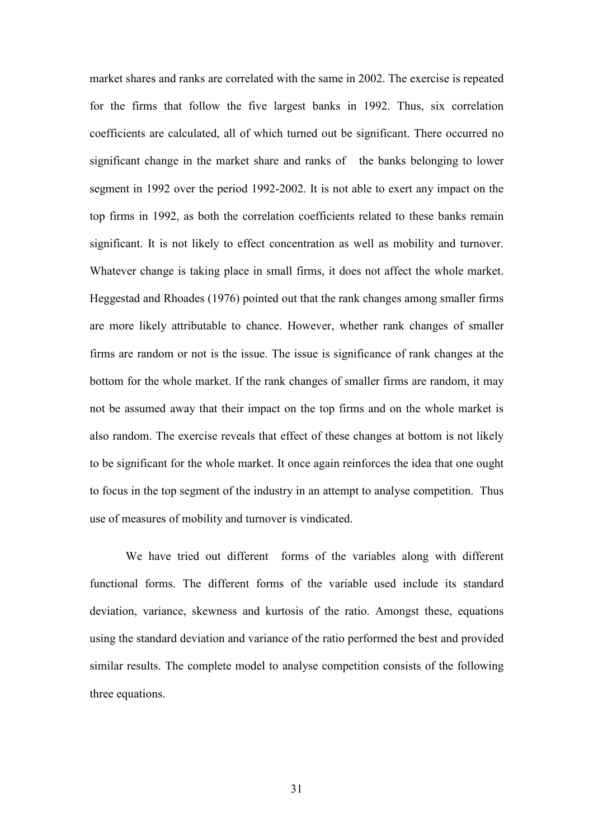market shares and ranks are correlated with the same in 2002. The exercise is repeated for the firms that follow the five largest banks in 1992. Thus, six correlation coefficients are calculated, all of which turned out be significant. There occurred no significant change in the market share and ranks of the banks belonging to lower segment in 1992 over the period 1992-2002. It is not able to exert any impact on the top firms in 1992, as both the correlation coefficients related to these banks remain significant. It is not likely to effect concentration as well as mobility and turnover. Whatever change is taking place in small firms, it does not affect the whole market. Heggestad and Rhoades (1976) pointed out that the rank changes among smaller firms are more likely attributable to chance. However, whether rank changes of smaller firms are random or not is the issue. The issue is significance of rank changes at the bottom for the whole market. If the rank changes of smaller firms are random, it may not be assumed away that their impact on the top firms and on the whole market is also random. The exercise reveals that effect of these changes at bottom is not likely to be significant for the whole market. It once again reinforces the idea that one ought to focus in the top segment of the industry in an attempt to analyse competition. Thus use of measures of mobility and turnover is vindicated.

 We have tried out different forms of the variables along with different functional forms. The different forms of the variable used include its standard deviation, variance, skewness and kurtosis of the ratio. Amongst these, equations using the standard deviation and variance of the ratio performed the best and provided similar results. The complete model to analyse competition consists of the following three equations.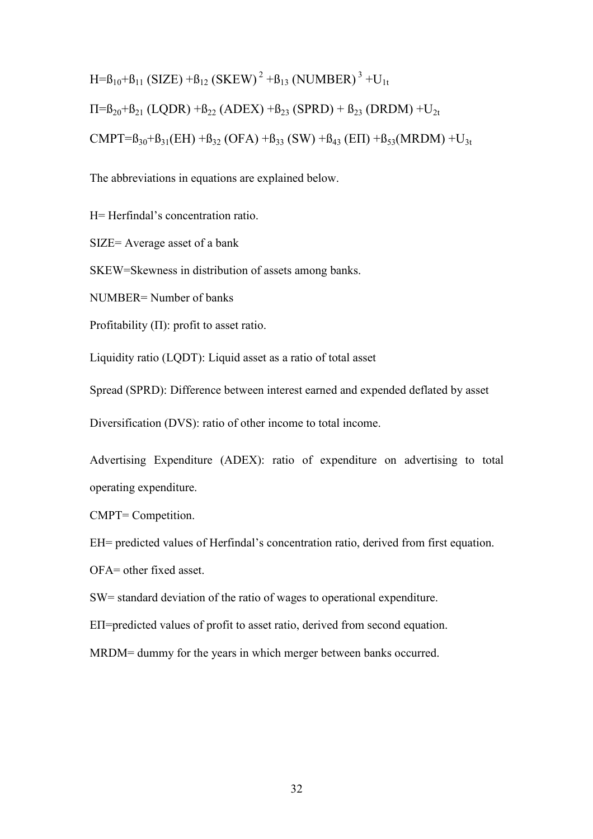$H=_{10}+B_{11}$  (SIZE) + $B_{12}$  (SKEW)<sup>2</sup> + $B_{13}$  (NUMBER)<sup>3</sup> +U<sub>1t</sub>  $\Pi = B_{20} + B_{21}$  (LQDR) + $B_{22}$  (ADEX) + $B_{23}$  (SPRD) +  $B_{23}$  (DRDM) + $U_{2t}$  $CMPT=$  $B_{30}+B_{31}(EH)$  + $B_{32}$  (OFA) + $B_{33}$  (SW) + $B_{43}$  (EII) + $B_{53}$ (MRDM) + $U_{3t}$ 

The abbreviations in equations are explained below.

H= Herfindal's concentration ratio.

SIZE= Average asset of a bank

SKEW=Skewness in distribution of assets among banks.

NUMBER= Number of banks

Profitability  $(\Pi)$ : profit to asset ratio.

Liquidity ratio (LQDT): Liquid asset as a ratio of total asset

Spread (SPRD): Difference between interest earned and expended deflated by asset

Diversification (DVS): ratio of other income to total income.

Advertising Expenditure (ADEX): ratio of expenditure on advertising to total operating expenditure.

CMPT= Competition.

EH= predicted values of Herfindal's concentration ratio, derived from first equation.

OFA= other fixed asset.

SW= standard deviation of the ratio of wages to operational expenditure.

EП=predicted values of profit to asset ratio, derived from second equation.

MRDM= dummy for the years in which merger between banks occurred.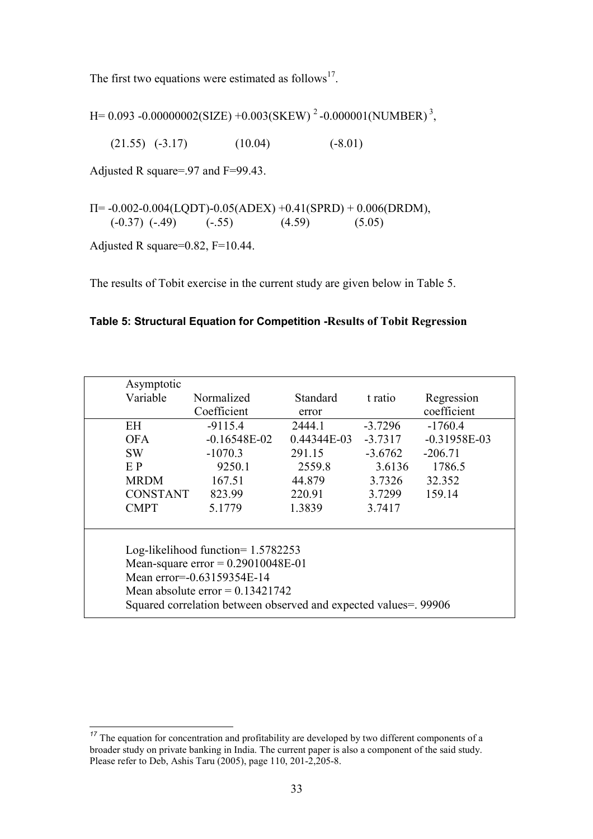The first two equations were estimated as follows $17$ .

 $H= 0.093 - 0.00000002(SIZE) + 0.003(SKEY)^2 - 0.000001(NUMBER)^3,$ 

 $(21.55)$   $(-3.17)$   $(10.04)$   $(-8.01)$ 

Adjusted R square=.97 and F=99.43.

 $\Pi$  = -0.002-0.004(LQDT)-0.05(ADEX) +0.41(SPRD) + 0.006(DRDM),  $(-0.37)$   $(-.49)$   $(-.55)$   $(4.59)$   $(5.05)$ 

Adjusted R square=0.82, F=10.44.

 $\overline{\phantom{a}}$ 

The results of Tobit exercise in the current study are given below in Table 5.

## Table 5: Structural Equation for Competition -Results of Tobit Regression

| Asymptotic      |                                                                                                                                                                                                                      |                 |           |                |
|-----------------|----------------------------------------------------------------------------------------------------------------------------------------------------------------------------------------------------------------------|-----------------|-----------|----------------|
| Variable        | Normalized                                                                                                                                                                                                           | <b>Standard</b> | t ratio   | Regression     |
|                 | Coefficient                                                                                                                                                                                                          | error           |           | coefficient    |
| ΕH              | $-9115.4$                                                                                                                                                                                                            | 2444.1          | $-3.7296$ | $-1760.4$      |
| <b>OFA</b>      | $-0.16548E - 02$                                                                                                                                                                                                     | 0.44344E-03     | $-3.7317$ | $-0.31958E-03$ |
| <b>SW</b>       | $-1070.3$                                                                                                                                                                                                            | 291.15          | $-3.6762$ | $-206.71$      |
| E P             | 9250.1                                                                                                                                                                                                               | 2559.8          | 3.6136    | 1786.5         |
| <b>MRDM</b>     | 167.51                                                                                                                                                                                                               | 44.879          | 3.7326    | 32.352         |
| <b>CONSTANT</b> | 823.99                                                                                                                                                                                                               | 220.91          | 3.7299    | 159.14         |
| <b>CMPT</b>     | 5.1779                                                                                                                                                                                                               | 1.3839          | 3.7417    |                |
|                 |                                                                                                                                                                                                                      |                 |           |                |
|                 | Log-likelihood function= $1.5782253$<br>Mean-square error = $0.29010048E-01$<br>Mean error=-0.63159354E-14<br>Mean absolute error $= 0.13421742$<br>Squared correlation between observed and expected values=. 99906 |                 |           |                |

 $17$  The equation for concentration and profitability are developed by two different components of a broader study on private banking in India. The current paper is also a component of the said study. Please refer to Deb, Ashis Taru (2005), page 110, 201-2,205-8.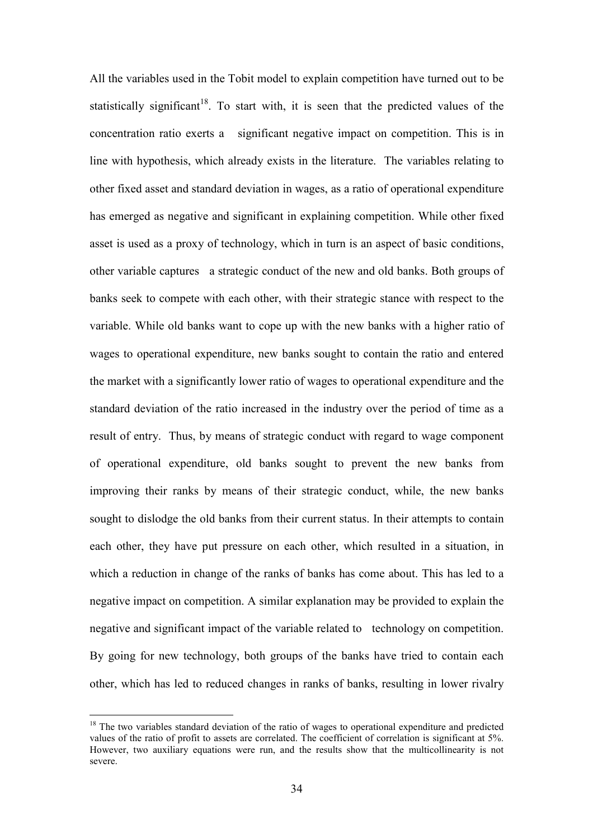All the variables used in the Tobit model to explain competition have turned out to be statistically significant<sup>18</sup>. To start with, it is seen that the predicted values of the concentration ratio exerts a significant negative impact on competition. This is in line with hypothesis, which already exists in the literature. The variables relating to other fixed asset and standard deviation in wages, as a ratio of operational expenditure has emerged as negative and significant in explaining competition. While other fixed asset is used as a proxy of technology, which in turn is an aspect of basic conditions, other variable captures a strategic conduct of the new and old banks. Both groups of banks seek to compete with each other, with their strategic stance with respect to the variable. While old banks want to cope up with the new banks with a higher ratio of wages to operational expenditure, new banks sought to contain the ratio and entered the market with a significantly lower ratio of wages to operational expenditure and the standard deviation of the ratio increased in the industry over the period of time as a result of entry. Thus, by means of strategic conduct with regard to wage component of operational expenditure, old banks sought to prevent the new banks from improving their ranks by means of their strategic conduct, while, the new banks sought to dislodge the old banks from their current status. In their attempts to contain each other, they have put pressure on each other, which resulted in a situation, in which a reduction in change of the ranks of banks has come about. This has led to a negative impact on competition. A similar explanation may be provided to explain the negative and significant impact of the variable related to technology on competition. By going for new technology, both groups of the banks have tried to contain each other, which has led to reduced changes in ranks of banks, resulting in lower rivalry

<sup>&</sup>lt;sup>18</sup> The two variables standard deviation of the ratio of wages to operational expenditure and predicted values of the ratio of profit to assets are correlated. The coefficient of correlation is significant at 5%. However, two auxiliary equations were run, and the results show that the multicollinearity is not severe.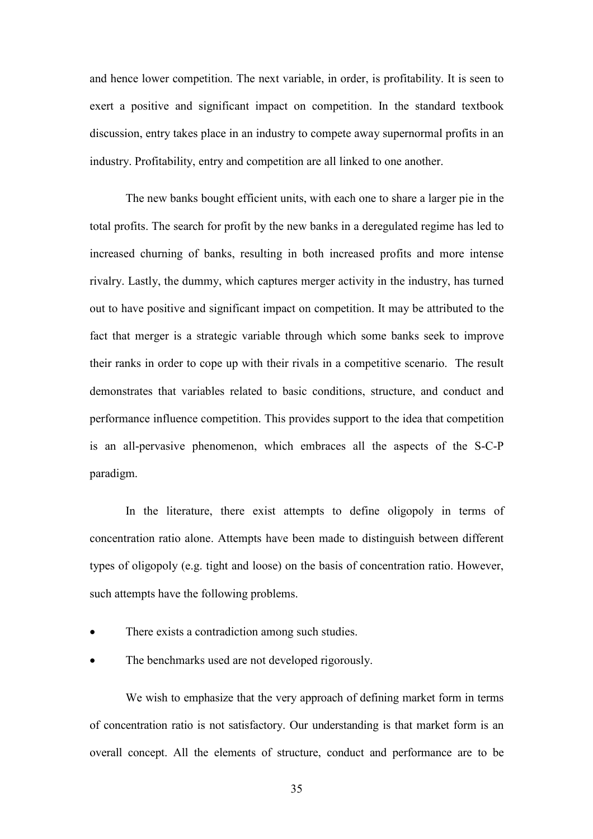and hence lower competition. The next variable, in order, is profitability. It is seen to exert a positive and significant impact on competition. In the standard textbook discussion, entry takes place in an industry to compete away supernormal profits in an industry. Profitability, entry and competition are all linked to one another.

The new banks bought efficient units, with each one to share a larger pie in the total profits. The search for profit by the new banks in a deregulated regime has led to increased churning of banks, resulting in both increased profits and more intense rivalry. Lastly, the dummy, which captures merger activity in the industry, has turned out to have positive and significant impact on competition. It may be attributed to the fact that merger is a strategic variable through which some banks seek to improve their ranks in order to cope up with their rivals in a competitive scenario. The result demonstrates that variables related to basic conditions, structure, and conduct and performance influence competition. This provides support to the idea that competition is an all-pervasive phenomenon, which embraces all the aspects of the S-C-P paradigm.

 In the literature, there exist attempts to define oligopoly in terms of concentration ratio alone. Attempts have been made to distinguish between different types of oligopoly (e.g. tight and loose) on the basis of concentration ratio. However, such attempts have the following problems.

- There exists a contradiction among such studies.
- The benchmarks used are not developed rigorously.

 We wish to emphasize that the very approach of defining market form in terms of concentration ratio is not satisfactory. Our understanding is that market form is an overall concept. All the elements of structure, conduct and performance are to be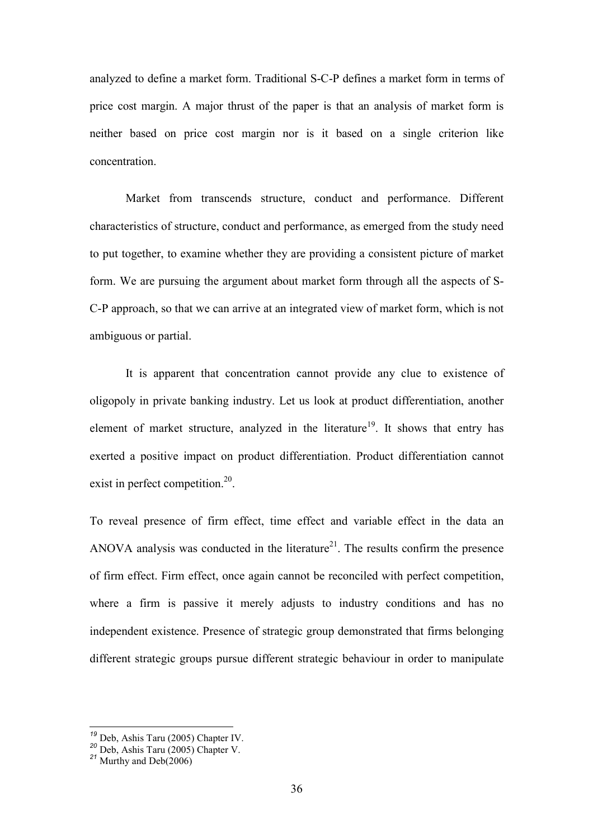analyzed to define a market form. Traditional S-C-P defines a market form in terms of price cost margin. A major thrust of the paper is that an analysis of market form is neither based on price cost margin nor is it based on a single criterion like concentration.

 Market from transcends structure, conduct and performance. Different characteristics of structure, conduct and performance, as emerged from the study need to put together, to examine whether they are providing a consistent picture of market form. We are pursuing the argument about market form through all the aspects of S-C-P approach, so that we can arrive at an integrated view of market form, which is not ambiguous or partial.

 It is apparent that concentration cannot provide any clue to existence of oligopoly in private banking industry. Let us look at product differentiation, another element of market structure, analyzed in the literature<sup>19</sup>. It shows that entry has exerted a positive impact on product differentiation. Product differentiation cannot exist in perfect competition.<sup>20</sup>.

To reveal presence of firm effect, time effect and variable effect in the data an ANOVA analysis was conducted in the literature<sup>21</sup>. The results confirm the presence of firm effect. Firm effect, once again cannot be reconciled with perfect competition, where a firm is passive it merely adjusts to industry conditions and has no independent existence. Presence of strategic group demonstrated that firms belonging different strategic groups pursue different strategic behaviour in order to manipulate

 $\overline{\phantom{a}}$ 

 $19$  Deb, Ashis Taru (2005) Chapter IV.

 $^{20}$  Deb, Ashis Taru (2005) Chapter V.

 $^{21}$  Murthy and Deb(2006)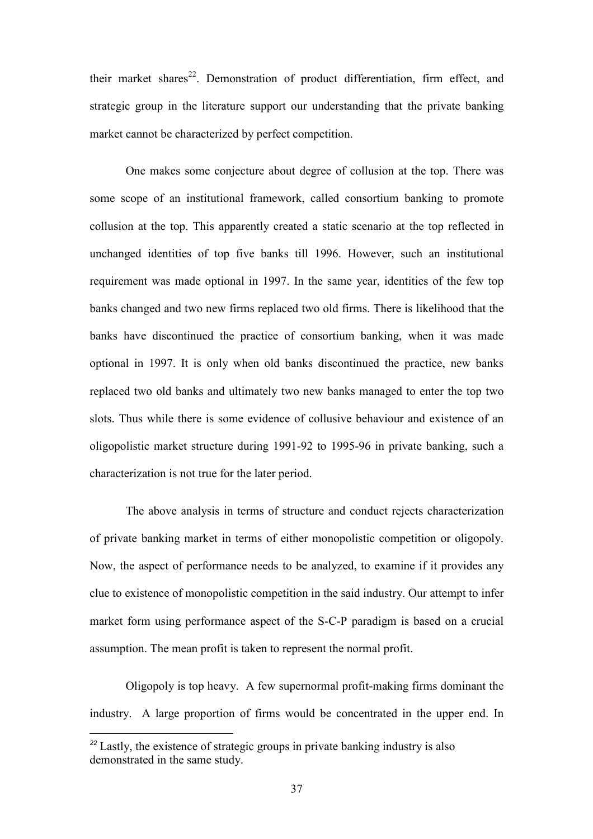their market shares<sup>22</sup>. Demonstration of product differentiation, firm effect, and strategic group in the literature support our understanding that the private banking market cannot be characterized by perfect competition.

 One makes some conjecture about degree of collusion at the top. There was some scope of an institutional framework, called consortium banking to promote collusion at the top. This apparently created a static scenario at the top reflected in unchanged identities of top five banks till 1996. However, such an institutional requirement was made optional in 1997. In the same year, identities of the few top banks changed and two new firms replaced two old firms. There is likelihood that the banks have discontinued the practice of consortium banking, when it was made optional in 1997. It is only when old banks discontinued the practice, new banks replaced two old banks and ultimately two new banks managed to enter the top two slots. Thus while there is some evidence of collusive behaviour and existence of an oligopolistic market structure during 1991-92 to 1995-96 in private banking, such a characterization is not true for the later period.

 The above analysis in terms of structure and conduct rejects characterization of private banking market in terms of either monopolistic competition or oligopoly. Now, the aspect of performance needs to be analyzed, to examine if it provides any clue to existence of monopolistic competition in the said industry. Our attempt to infer market form using performance aspect of the S-C-P paradigm is based on a crucial assumption. The mean profit is taken to represent the normal profit.

Oligopoly is top heavy. A few supernormal profit-making firms dominant the industry. A large proportion of firms would be concentrated in the upper end. In

 $22$  Lastly, the existence of strategic groups in private banking industry is also demonstrated in the same study.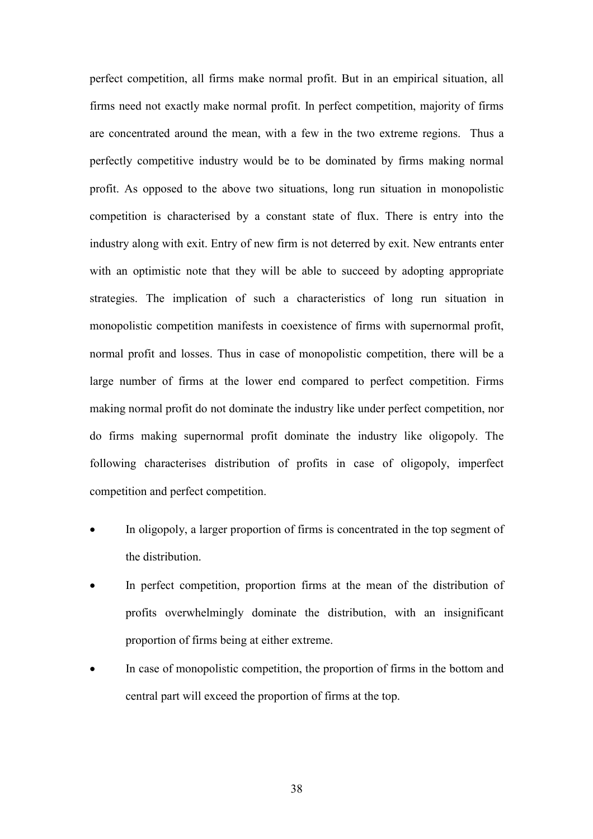perfect competition, all firms make normal profit. But in an empirical situation, all firms need not exactly make normal profit. In perfect competition, majority of firms are concentrated around the mean, with a few in the two extreme regions. Thus a perfectly competitive industry would be to be dominated by firms making normal profit. As opposed to the above two situations, long run situation in monopolistic competition is characterised by a constant state of flux. There is entry into the industry along with exit. Entry of new firm is not deterred by exit. New entrants enter with an optimistic note that they will be able to succeed by adopting appropriate strategies. The implication of such a characteristics of long run situation in monopolistic competition manifests in coexistence of firms with supernormal profit, normal profit and losses. Thus in case of monopolistic competition, there will be a large number of firms at the lower end compared to perfect competition. Firms making normal profit do not dominate the industry like under perfect competition, nor do firms making supernormal profit dominate the industry like oligopoly. The following characterises distribution of profits in case of oligopoly, imperfect competition and perfect competition.

- In oligopoly, a larger proportion of firms is concentrated in the top segment of the distribution.
- In perfect competition, proportion firms at the mean of the distribution of profits overwhelmingly dominate the distribution, with an insignificant proportion of firms being at either extreme.
- In case of monopolistic competition, the proportion of firms in the bottom and central part will exceed the proportion of firms at the top.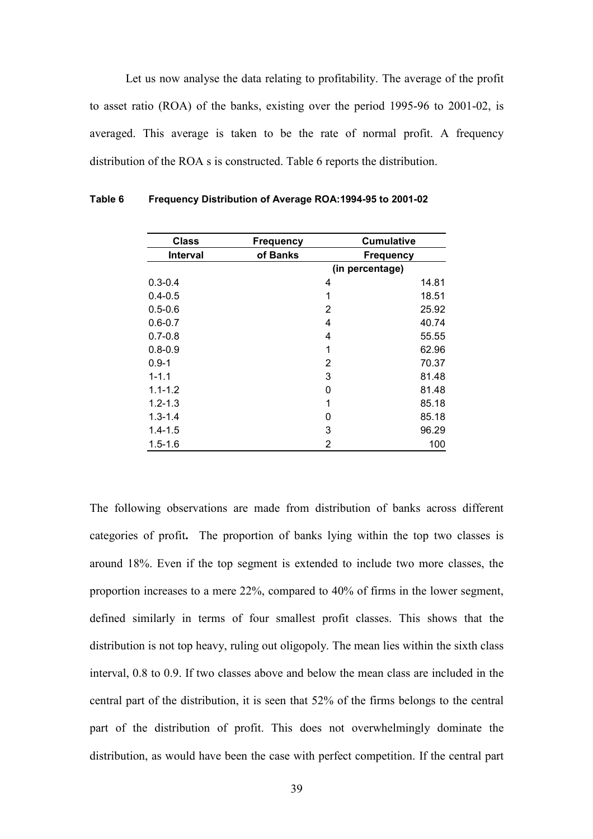Let us now analyse the data relating to profitability. The average of the profit to asset ratio (ROA) of the banks, existing over the period 1995-96 to 2001-02, is averaged. This average is taken to be the rate of normal profit. A frequency distribution of the ROA s is constructed. Table 6 reports the distribution.

| <b>Class</b> | <b>Frequency</b> | <b>Cumulative</b> |
|--------------|------------------|-------------------|
| Interval     | of Banks         | <b>Frequency</b>  |
|              |                  | (in percentage)   |
| $0.3 - 0.4$  | 4                | 14.81             |
| $0.4 - 0.5$  | 1                | 18.51             |
| $0.5 - 0.6$  | 2                | 25.92             |
| $0.6 - 0.7$  | 4                | 40.74             |
| $0.7 - 0.8$  | 4                | 55.55             |
| $0.8 - 0.9$  | 1                | 62.96             |
| $0.9 - 1$    | 2                | 70.37             |
| $1 - 1.1$    | 3                | 81.48             |
| $1.1 - 1.2$  | 0                | 81.48             |
| $1.2 - 1.3$  | 1                | 85.18             |
| $1.3 - 1.4$  | O                | 85.18             |
| $1.4 - 1.5$  | 3                | 96.29             |
| $1.5 - 1.6$  | 2                | 100               |

Table 6 Frequency Distribution of Average ROA:1994-95 to 2001-02

The following observations are made from distribution of banks across different categories of profit. The proportion of banks lying within the top two classes is around 18%. Even if the top segment is extended to include two more classes, the proportion increases to a mere 22%, compared to 40% of firms in the lower segment, defined similarly in terms of four smallest profit classes. This shows that the distribution is not top heavy, ruling out oligopoly. The mean lies within the sixth class interval, 0.8 to 0.9. If two classes above and below the mean class are included in the central part of the distribution, it is seen that 52% of the firms belongs to the central part of the distribution of profit. This does not overwhelmingly dominate the distribution, as would have been the case with perfect competition. If the central part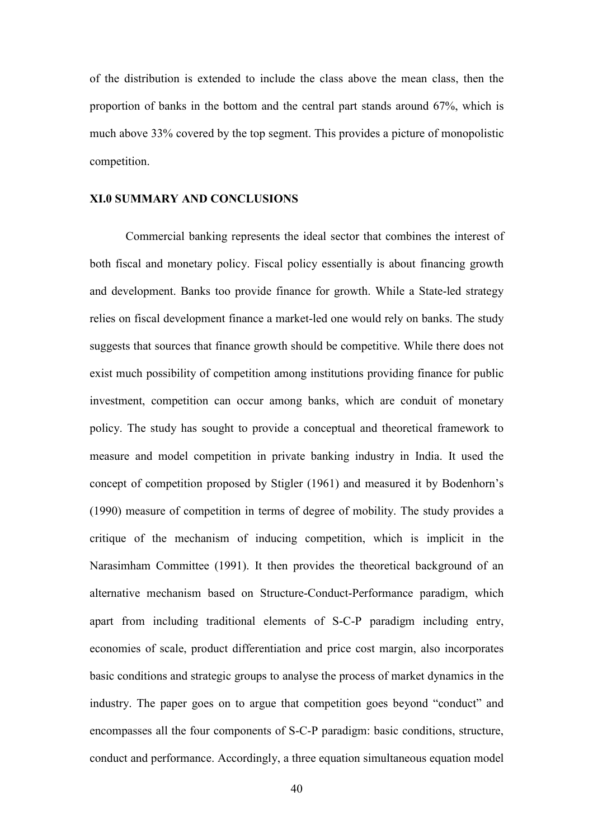of the distribution is extended to include the class above the mean class, then the proportion of banks in the bottom and the central part stands around 67%, which is much above 33% covered by the top segment. This provides a picture of monopolistic competition.

### XI.0 SUMMARY AND CONCLUSIONS

Commercial banking represents the ideal sector that combines the interest of both fiscal and monetary policy. Fiscal policy essentially is about financing growth and development. Banks too provide finance for growth. While a State-led strategy relies on fiscal development finance a market-led one would rely on banks. The study suggests that sources that finance growth should be competitive. While there does not exist much possibility of competition among institutions providing finance for public investment, competition can occur among banks, which are conduit of monetary policy. The study has sought to provide a conceptual and theoretical framework to measure and model competition in private banking industry in India. It used the concept of competition proposed by Stigler (1961) and measured it by Bodenhorn's (1990) measure of competition in terms of degree of mobility. The study provides a critique of the mechanism of inducing competition, which is implicit in the Narasimham Committee (1991). It then provides the theoretical background of an alternative mechanism based on Structure-Conduct-Performance paradigm, which apart from including traditional elements of S-C-P paradigm including entry, economies of scale, product differentiation and price cost margin, also incorporates basic conditions and strategic groups to analyse the process of market dynamics in the industry. The paper goes on to argue that competition goes beyond "conduct" and encompasses all the four components of S-C-P paradigm: basic conditions, structure, conduct and performance. Accordingly, a three equation simultaneous equation model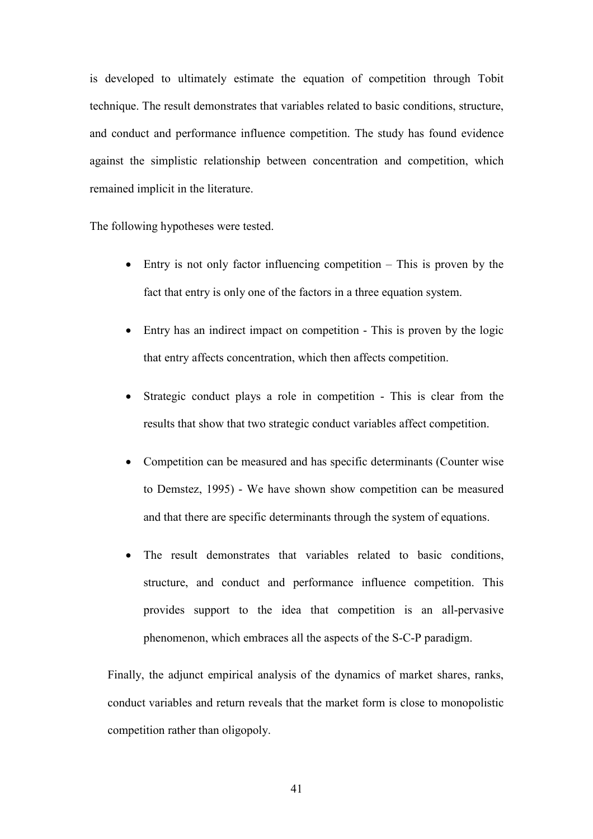is developed to ultimately estimate the equation of competition through Tobit technique. The result demonstrates that variables related to basic conditions, structure, and conduct and performance influence competition. The study has found evidence against the simplistic relationship between concentration and competition, which remained implicit in the literature.

The following hypotheses were tested.

- Entry is not only factor influencing competition This is proven by the fact that entry is only one of the factors in a three equation system.
- Entry has an indirect impact on competition This is proven by the logic that entry affects concentration, which then affects competition.
- Strategic conduct plays a role in competition This is clear from the results that show that two strategic conduct variables affect competition.
- Competition can be measured and has specific determinants (Counter wise to Demstez, 1995) - We have shown show competition can be measured and that there are specific determinants through the system of equations.
- The result demonstrates that variables related to basic conditions, structure, and conduct and performance influence competition. This provides support to the idea that competition is an all-pervasive phenomenon, which embraces all the aspects of the S-C-P paradigm.

Finally, the adjunct empirical analysis of the dynamics of market shares, ranks, conduct variables and return reveals that the market form is close to monopolistic competition rather than oligopoly.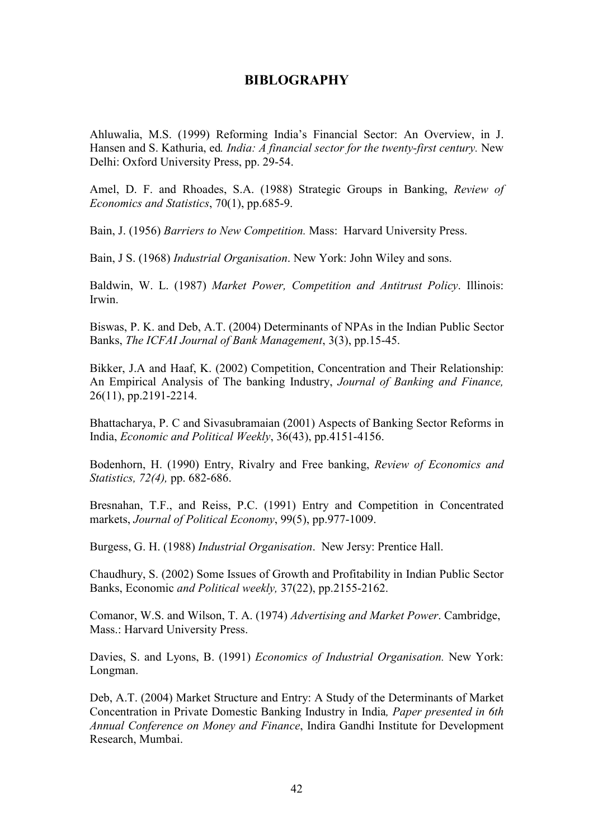# **BIBLOGRAPHY**

Ahluwalia, M.S. (1999) Reforming India's Financial Sector: An Overview, in J. Hansen and S. Kathuria, ed. India: A financial sector for the twenty-first century. New Delhi: Oxford University Press, pp. 29-54.

Amel, D. F. and Rhoades, S.A. (1988) Strategic Groups in Banking, Review of Economics and Statistics, 70(1), pp.685-9.

Bain, J. (1956) Barriers to New Competition. Mass: Harvard University Press.

Bain, J S. (1968) Industrial Organisation. New York: John Wiley and sons.

Baldwin, W. L. (1987) Market Power, Competition and Antitrust Policy. Illinois: Irwin.

Biswas, P. K. and Deb, A.T. (2004) Determinants of NPAs in the Indian Public Sector Banks, The ICFAI Journal of Bank Management, 3(3), pp.15-45.

Bikker, J.A and Haaf, K. (2002) Competition, Concentration and Their Relationship: An Empirical Analysis of The banking Industry, Journal of Banking and Finance, 26(11), pp.2191-2214.

Bhattacharya, P. C and Sivasubramaian (2001) Aspects of Banking Sector Reforms in India, Economic and Political Weekly, 36(43), pp.4151-4156.

Bodenhorn, H. (1990) Entry, Rivalry and Free banking, Review of Economics and Statistics, 72(4), pp. 682-686.

Bresnahan, T.F., and Reiss, P.C. (1991) Entry and Competition in Concentrated markets, Journal of Political Economy, 99(5), pp.977-1009.

Burgess, G. H. (1988) Industrial Organisation. New Jersy: Prentice Hall.

Chaudhury, S. (2002) Some Issues of Growth and Profitability in Indian Public Sector Banks, Economic and Political weekly, 37(22), pp.2155-2162.

Comanor, W.S. and Wilson, T. A. (1974) Advertising and Market Power. Cambridge, Mass.: Harvard University Press.

Davies, S. and Lyons, B. (1991) Economics of Industrial Organisation. New York: Longman.

Deb, A.T. (2004) Market Structure and Entry: A Study of the Determinants of Market Concentration in Private Domestic Banking Industry in India, Paper presented in 6th Annual Conference on Money and Finance, Indira Gandhi Institute for Development Research, Mumbai.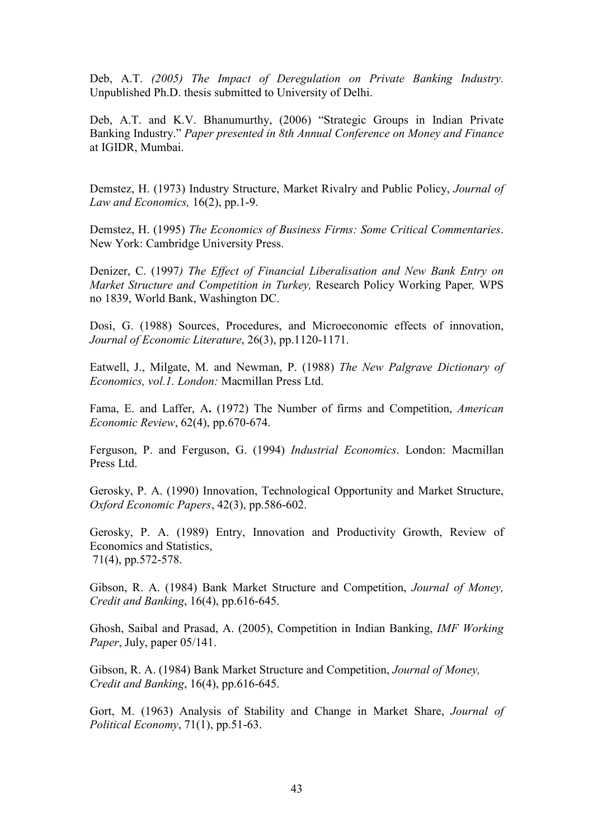Deb, A.T. (2005) The Impact of Deregulation on Private Banking Industry. Unpublished Ph.D. thesis submitted to University of Delhi.

Deb, A.T. and K.V. Bhanumurthy, (2006) "Strategic Groups in Indian Private Banking Industry." Paper presented in 8th Annual Conference on Money and Finance at IGIDR, Mumbai.

Demstez, H. (1973) Industry Structure, Market Rivalry and Public Policy, Journal of Law and Economics, 16(2), pp.1-9.

Demstez, H. (1995) The Economics of Business Firms: Some Critical Commentaries. New York: Cambridge University Press.

Denizer, C. (1997) The Effect of Financial Liberalisation and New Bank Entry on Market Structure and Competition in Turkey, Research Policy Working Paper, WPS no 1839, World Bank, Washington DC.

Dosi, G. (1988) Sources, Procedures, and Microeconomic effects of innovation, Journal of Economic Literature, 26(3), pp.1120-1171.

Eatwell, J., Milgate, M. and Newman, P. (1988) The New Palgrave Dictionary of Economics, vol.1. London: Macmillan Press Ltd.

Fama, E. and Laffer, A. (1972) The Number of firms and Competition, American Economic Review, 62(4), pp.670-674.

Ferguson, P. and Ferguson, G. (1994) Industrial Economics. London: Macmillan Press Ltd.

Gerosky, P. A. (1990) Innovation, Technological Opportunity and Market Structure, Oxford Economic Papers, 42(3), pp.586-602.

Gerosky, P. A. (1989) Entry, Innovation and Productivity Growth, Review of Economics and Statistics, 71(4), pp.572-578.

Gibson, R. A. (1984) Bank Market Structure and Competition, Journal of Money, Credit and Banking, 16(4), pp.616-645.

Ghosh, Saibal and Prasad, A. (2005), Competition in Indian Banking, IMF Working Paper, July, paper 05/141.

Gibson, R. A. (1984) Bank Market Structure and Competition, Journal of Money, Credit and Banking, 16(4), pp.616-645.

Gort, M. (1963) Analysis of Stability and Change in Market Share, Journal of Political Economy, 71(1), pp.51-63.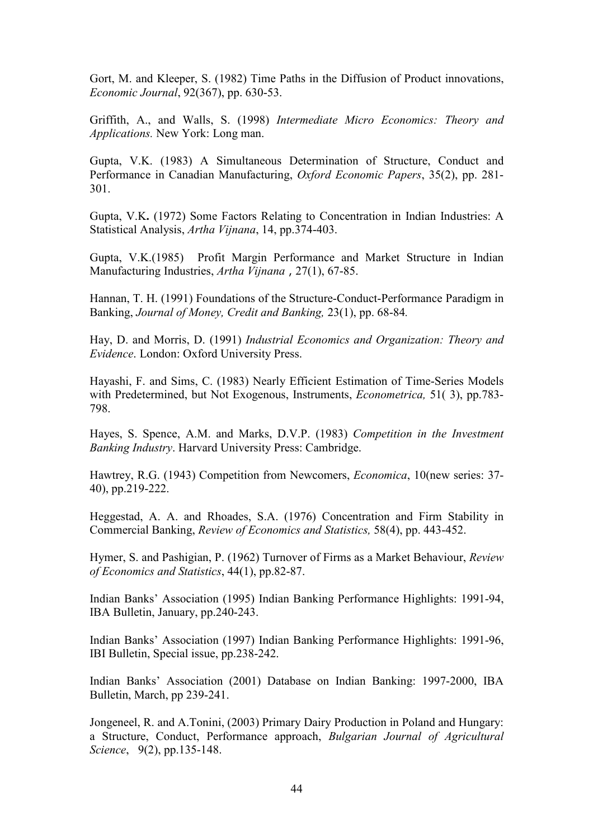Gort, M. and Kleeper, S. (1982) Time Paths in the Diffusion of Product innovations, Economic Journal, 92(367), pp. 630-53.

Griffith, A., and Walls, S. (1998) Intermediate Micro Economics: Theory and Applications. New York: Long man.

Gupta, V.K. (1983) A Simultaneous Determination of Structure, Conduct and Performance in Canadian Manufacturing, Oxford Economic Papers, 35(2), pp. 281- 301.

Gupta, V.K. (1972) Some Factors Relating to Concentration in Indian Industries: A Statistical Analysis, Artha Vijnana, 14, pp.374-403.

Gupta, V.K.(1985) Profit Margin Performance and Market Structure in Indian Manufacturing Industries, Artha Vijnana, 27(1), 67-85.

Hannan, T. H. (1991) Foundations of the Structure-Conduct-Performance Paradigm in Banking, Journal of Money, Credit and Banking, 23(1), pp. 68-84.

Hay, D. and Morris, D. (1991) Industrial Economics and Organization: Theory and Evidence. London: Oxford University Press.

Hayashi, F. and Sims, C. (1983) Nearly Efficient Estimation of Time-Series Models with Predetermined, but Not Exogenous, Instruments, *Econometrica*, 51(3), pp.783-798.

Hayes, S. Spence, A.M. and Marks, D.V.P. (1983) Competition in the Investment Banking Industry. Harvard University Press: Cambridge.

Hawtrey, R.G. (1943) Competition from Newcomers, Economica, 10(new series: 37- 40), pp.219-222.

Heggestad, A. A. and Rhoades, S.A. (1976) Concentration and Firm Stability in Commercial Banking, Review of Economics and Statistics, 58(4), pp. 443-452.

Hymer, S. and Pashigian, P. (1962) Turnover of Firms as a Market Behaviour, Review of Economics and Statistics, 44(1), pp.82-87.

Indian Banks' Association (1995) Indian Banking Performance Highlights: 1991-94, IBA Bulletin, January, pp.240-243.

Indian Banks' Association (1997) Indian Banking Performance Highlights: 1991-96, IBI Bulletin, Special issue, pp.238-242.

Indian Banks' Association (2001) Database on Indian Banking: 1997-2000, IBA Bulletin, March, pp 239-241.

Jongeneel, R. and A.Tonini, (2003) Primary Dairy Production in Poland and Hungary: a Structure, Conduct, Performance approach, Bulgarian Journal of Agricultural Science, 9(2), pp.135-148.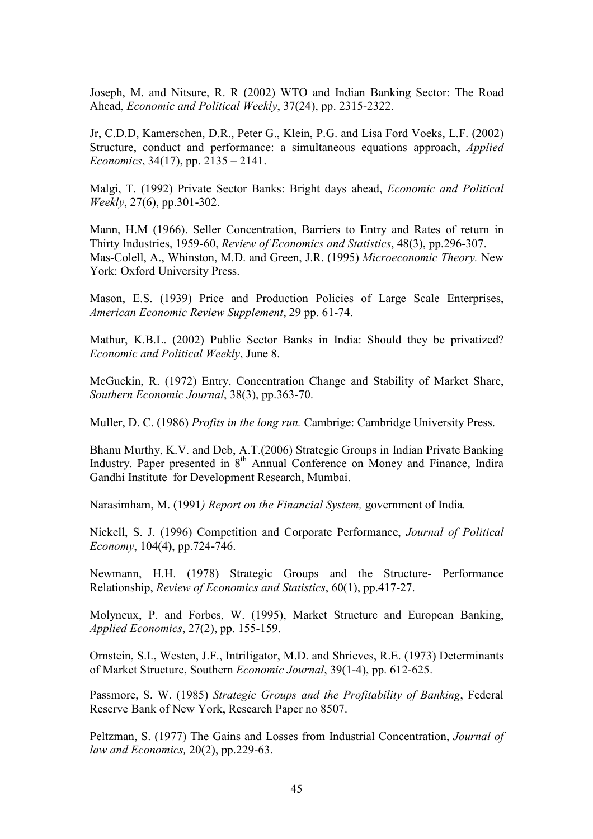Joseph, M. and Nitsure, R. R (2002) WTO and Indian Banking Sector: The Road Ahead, Economic and Political Weekly, 37(24), pp. 2315-2322.

Jr, C.D.D, Kamerschen, D.R., Peter G., Klein, P.G. and Lisa Ford Voeks, L.F. (2002) Structure, conduct and performance: a simultaneous equations approach, Applied Economics, 34(17), pp. 2135 – 2141.

Malgi, T. (1992) Private Sector Banks: Bright days ahead, Economic and Political Weekly, 27(6), pp.301-302.

Mann, H.M (1966). Seller Concentration, Barriers to Entry and Rates of return in Thirty Industries, 1959-60, Review of Economics and Statistics, 48(3), pp.296-307. Mas-Colell, A., Whinston, M.D. and Green, J.R. (1995) Microeconomic Theory. New York: Oxford University Press.

Mason, E.S. (1939) Price and Production Policies of Large Scale Enterprises, American Economic Review Supplement, 29 pp. 61-74.

Mathur, K.B.L. (2002) Public Sector Banks in India: Should they be privatized? Economic and Political Weekly, June 8.

McGuckin, R. (1972) Entry, Concentration Change and Stability of Market Share, Southern Economic Journal, 38(3), pp.363-70.

Muller, D. C. (1986) Profits in the long run. Cambrige: Cambridge University Press.

Bhanu Murthy, K.V. and Deb, A.T.(2006) Strategic Groups in Indian Private Banking Industry. Paper presented in 8<sup>th</sup> Annual Conference on Money and Finance, Indira Gandhi Institute for Development Research, Mumbai.

Narasimham, M. (1991) Report on the Financial System, government of India.

Nickell, S. J. (1996) Competition and Corporate Performance, Journal of Political Economy, 104(4), pp.724-746.

Newmann, H.H. (1978) Strategic Groups and the Structure- Performance Relationship, Review of Economics and Statistics, 60(1), pp.417-27.

Molyneux, P. and Forbes, W. (1995), Market Structure and European Banking, Applied Economics, 27(2), pp. 155-159.

Ornstein, S.I., Westen, J.F., Intriligator, M.D. and Shrieves, R.E. (1973) Determinants of Market Structure, Southern Economic Journal, 39(1-4), pp. 612-625.

Passmore, S. W. (1985) Strategic Groups and the Profitability of Banking, Federal Reserve Bank of New York, Research Paper no 8507.

Peltzman, S. (1977) The Gains and Losses from Industrial Concentration, Journal of law and Economics,  $20(2)$ , pp.229-63.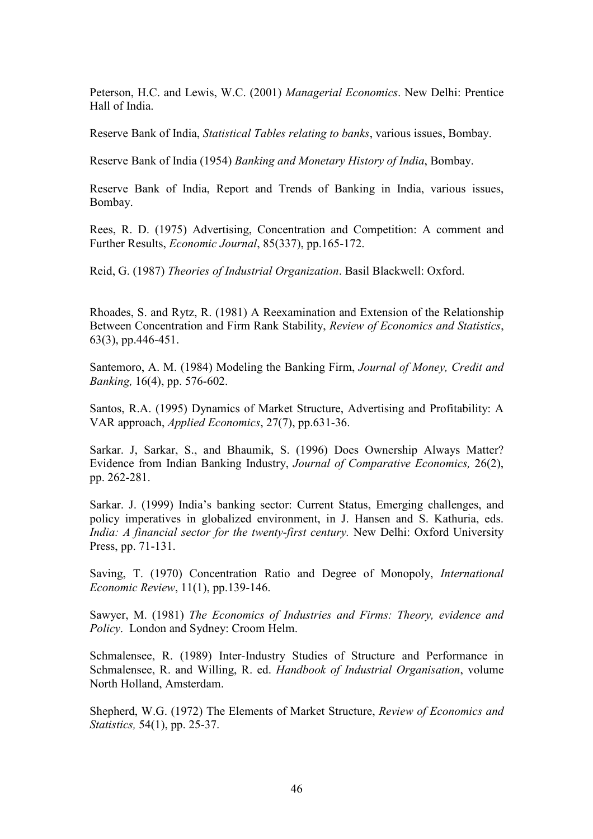Peterson, H.C. and Lewis, W.C. (2001) Managerial Economics. New Delhi: Prentice Hall of India.

Reserve Bank of India, Statistical Tables relating to banks, various issues, Bombay.

Reserve Bank of India (1954) Banking and Monetary History of India, Bombay.

Reserve Bank of India, Report and Trends of Banking in India, various issues, Bombay.

Rees, R. D. (1975) Advertising, Concentration and Competition: A comment and Further Results, Economic Journal, 85(337), pp.165-172.

Reid, G. (1987) Theories of Industrial Organization. Basil Blackwell: Oxford.

Rhoades, S. and Rytz, R. (1981) A Reexamination and Extension of the Relationship Between Concentration and Firm Rank Stability, Review of Economics and Statistics, 63(3), pp.446-451.

Santemoro, A. M. (1984) Modeling the Banking Firm, Journal of Money, Credit and Banking, 16(4), pp. 576-602.

Santos, R.A. (1995) Dynamics of Market Structure, Advertising and Profitability: A VAR approach, Applied Economics, 27(7), pp.631-36.

Sarkar. J, Sarkar, S., and Bhaumik, S. (1996) Does Ownership Always Matter? Evidence from Indian Banking Industry, Journal of Comparative Economics, 26(2), pp. 262-281.

Sarkar. J. (1999) India's banking sector: Current Status, Emerging challenges, and policy imperatives in globalized environment, in J. Hansen and S. Kathuria, eds. India: A financial sector for the twenty-first century. New Delhi: Oxford University Press, pp. 71-131.

Saving, T. (1970) Concentration Ratio and Degree of Monopoly, International Economic Review, 11(1), pp.139-146.

Sawyer, M. (1981) The Economics of Industries and Firms: Theory, evidence and Policy. London and Sydney: Croom Helm.

Schmalensee, R. (1989) Inter-Industry Studies of Structure and Performance in Schmalensee, R. and Willing, R. ed. Handbook of Industrial Organisation, volume North Holland, Amsterdam.

Shepherd, W.G. (1972) The Elements of Market Structure, Review of Economics and Statistics, 54(1), pp. 25-37.